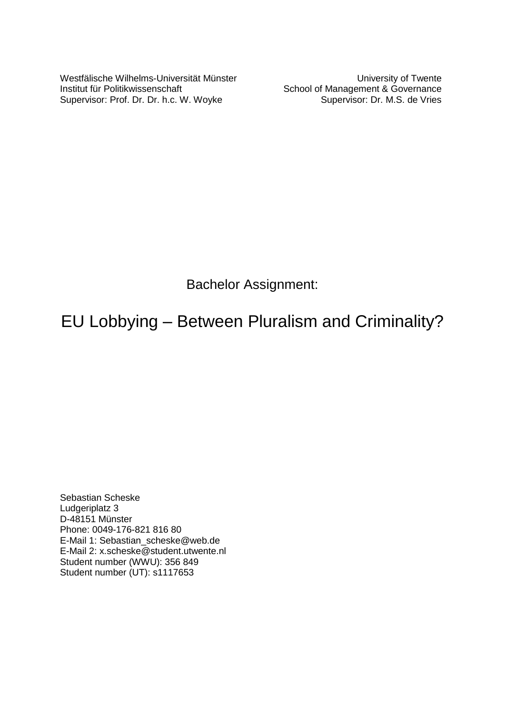Westfälische Wilhelms-Universität Münster Institut für Politikwissenschaft Supervisor: Prof. Dr. Dr. h.c. W. Woyke

University of Twente School of Management & Governance Supervisor: Dr. M.S. de Vries

Bachelor Assignment:

# EU Lobbying – Between Pluralism and Criminality?

Sebastian Scheske Ludgeriplatz 3 D-48151 Münster Phone: 0049-176-821 816 80 E-Mail 1: Sebastian\_scheske@web.de E-Mail 2: x.scheske@student.utwente.nl Student number (WWU): 356 849 Student number (UT): s1117653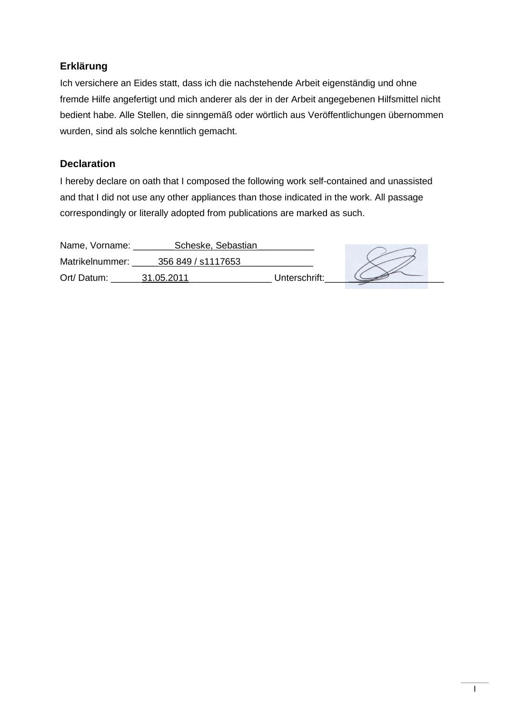# **Erklärung**

Ich versichere an Eides statt, dass ich die nachstehende Arbeit eigenständig und ohne fremde Hilfe angefertigt und mich anderer als der in der Arbeit angegebenen Hilfsmittel nicht bedient habe. Alle Stellen, die sinngemäß oder wörtlich aus Veröffentlichungen übernommen wurden, sind als solche kenntlich gemacht.

# **Declaration**

I hereby declare on oath that I composed the following work self-contained and unassisted and that I did not use any other appliances than those indicated in the work. All passage correspondingly or literally adopted from publications are marked as such.

| Name, Vorname:  | Scheske, Sebastian |               |  |
|-----------------|--------------------|---------------|--|
| Matrikelnummer: | 356 849 / s1117653 |               |  |
| Ort/Datum:      | 31.05.2011         | Unterschrift: |  |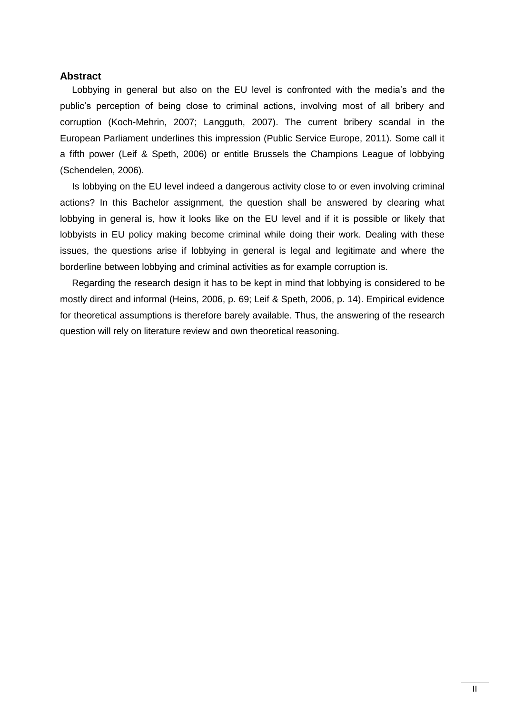#### <span id="page-2-0"></span>**Abstract**

Lobbying in general but also on the EU level is confronted with the media's and the public"s perception of being close to criminal actions, involving most of all bribery and corruption (Koch-Mehrin, 2007; Langguth, 2007). The current bribery scandal in the European Parliament underlines this impression (Public Service Europe, 2011). Some call it a fifth power (Leif & Speth, 2006) or entitle Brussels the Champions League of lobbying (Schendelen, 2006).

Is lobbying on the EU level indeed a dangerous activity close to or even involving criminal actions? In this Bachelor assignment, the question shall be answered by clearing what lobbying in general is, how it looks like on the EU level and if it is possible or likely that lobbyists in EU policy making become criminal while doing their work. Dealing with these issues, the questions arise if lobbying in general is legal and legitimate and where the borderline between lobbying and criminal activities as for example corruption is.

Regarding the research design it has to be kept in mind that lobbying is considered to be mostly direct and informal (Heins, 2006, p. 69; Leif & Speth, 2006, p. 14). Empirical evidence for theoretical assumptions is therefore barely available. Thus, the answering of the research question will rely on literature review and own theoretical reasoning.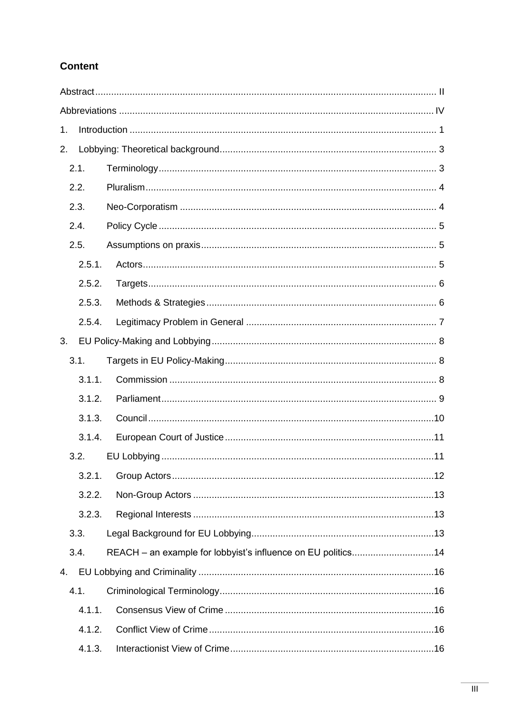# **Content**

| 1. |        |                                                              |  |  |
|----|--------|--------------------------------------------------------------|--|--|
| 2. |        |                                                              |  |  |
|    | 2.1.   |                                                              |  |  |
|    | 2.2.   |                                                              |  |  |
|    | 2.3.   |                                                              |  |  |
|    | 2.4.   |                                                              |  |  |
|    | 2.5.   |                                                              |  |  |
|    | 2.5.1. |                                                              |  |  |
|    | 2.5.2. |                                                              |  |  |
|    | 2.5.3. |                                                              |  |  |
|    | 2.5.4. |                                                              |  |  |
| 3. |        |                                                              |  |  |
|    | 3.1.   |                                                              |  |  |
|    | 3.1.1. |                                                              |  |  |
|    | 3.1.2. |                                                              |  |  |
|    | 3.1.3. |                                                              |  |  |
|    | 3.1.4. |                                                              |  |  |
|    | 3.2.   |                                                              |  |  |
|    | 3.2.1. |                                                              |  |  |
|    | 3.2.2. |                                                              |  |  |
|    | 3.2.3. |                                                              |  |  |
|    | 3.3.   |                                                              |  |  |
|    | 3.4.   | REACH - an example for lobbyist's influence on EU politics14 |  |  |
| 4. |        |                                                              |  |  |
|    | 4.1.   |                                                              |  |  |
|    | 4.1.1. |                                                              |  |  |
|    | 4.1.2. |                                                              |  |  |
|    | 4.1.3. |                                                              |  |  |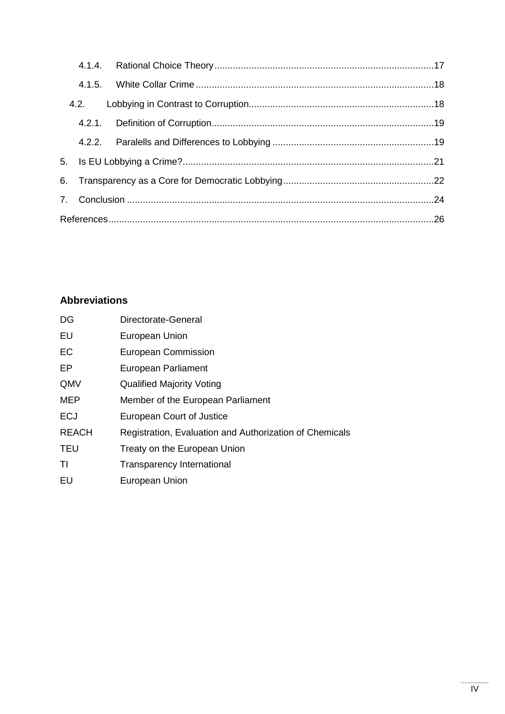# <span id="page-4-0"></span>**Abbreviations**

| DG           | Directorate-General                                     |
|--------------|---------------------------------------------------------|
| EU           | <b>European Union</b>                                   |
| EC           | <b>European Commission</b>                              |
| EP           | European Parliament                                     |
| QMV          | <b>Qualified Majority Voting</b>                        |
| <b>MEP</b>   | Member of the European Parliament                       |
| <b>ECJ</b>   | European Court of Justice                               |
| <b>REACH</b> | Registration, Evaluation and Authorization of Chemicals |
| <b>TEU</b>   | Treaty on the European Union                            |
| ΤI           | <b>Transparency International</b>                       |
| EU           | European Union                                          |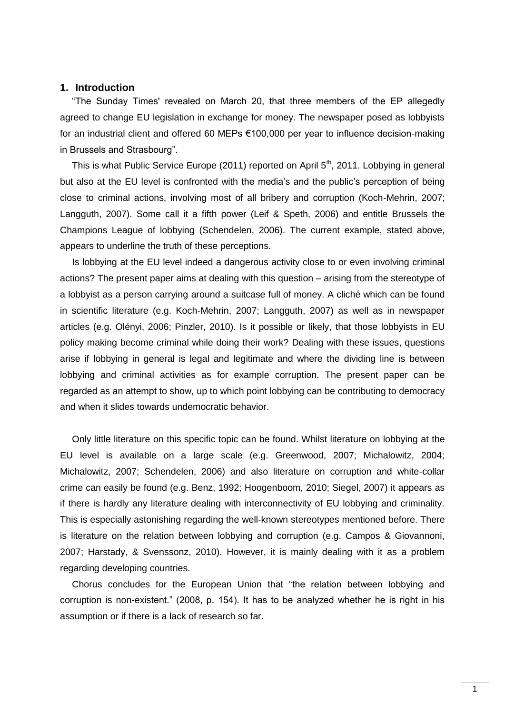# <span id="page-5-0"></span>**1. Introduction**

"The Sunday Times' revealed on March 20, that three members of the EP allegedly agreed to change EU legislation in exchange for money. The newspaper posed as lobbyists for an industrial client and offered 60 MEPs €100,000 per year to influence decision-making in Brussels and Strasbourg".

This is what Public Service Europe (2011) reported on April 5<sup>th</sup>, 2011. Lobbying in general but also at the EU level is confronted with the media"s and the public"s perception of being close to criminal actions, involving most of all bribery and corruption (Koch-Mehrin, 2007; Langguth, 2007). Some call it a fifth power (Leif & Speth, 2006) and entitle Brussels the Champions League of lobbying (Schendelen, 2006). The current example, stated above, appears to underline the truth of these perceptions.

Is lobbying at the EU level indeed a dangerous activity close to or even involving criminal actions? The present paper aims at dealing with this question – arising from the stereotype of a lobbyist as a person carrying around a suitcase full of money. A cliché which can be found in scientific literature (e.g. Koch-Mehrin, 2007; Langguth, 2007) as well as in newspaper articles (e.g. Olényi, 2006; Pinzler, 2010). Is it possible or likely, that those lobbyists in EU policy making become criminal while doing their work? Dealing with these issues, questions arise if lobbying in general is legal and legitimate and where the dividing line is between lobbying and criminal activities as for example corruption. The present paper can be regarded as an attempt to show, up to which point lobbying can be contributing to democracy and when it slides towards undemocratic behavior.

Only little literature on this specific topic can be found. Whilst literature on lobbying at the EU level is available on a large scale (e.g. Greenwood, 2007; Michalowitz, 2004; Michalowitz, 2007; Schendelen, 2006) and also literature on corruption and white-collar crime can easily be found (e.g. Benz, 1992; Hoogenboom, 2010; Siegel, 2007) it appears as if there is hardly any literature dealing with interconnectivity of EU lobbying and criminality. This is especially astonishing regarding the well-known stereotypes mentioned before. There is literature on the relation between lobbying and corruption (e.g. Campos & Giovannoni, 2007; Harstady, & Svenssonz, 2010). However, it is mainly dealing with it as a problem regarding developing countries.

Chorus concludes for the European Union that "the relation between lobbying and corruption is non-existent." (2008, p. 154). It has to be analyzed whether he is right in his assumption or if there is a lack of research so far.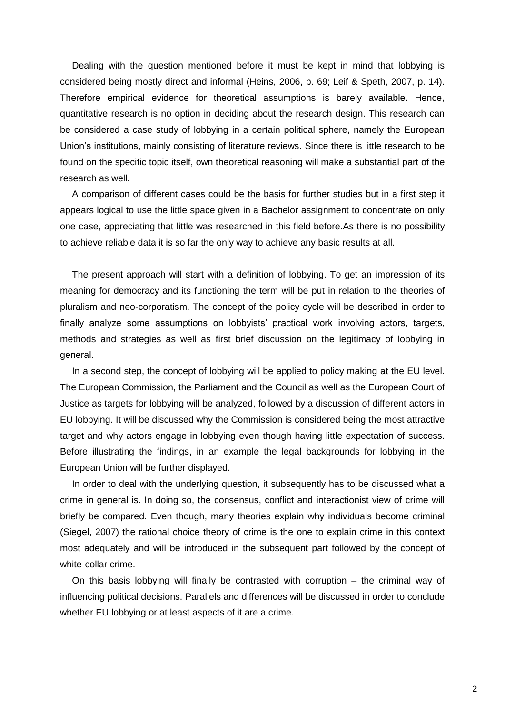Dealing with the question mentioned before it must be kept in mind that lobbying is considered being mostly direct and informal (Heins, 2006, p. 69; Leif & Speth, 2007, p. 14). Therefore empirical evidence for theoretical assumptions is barely available. Hence, quantitative research is no option in deciding about the research design. This research can be considered a case study of lobbying in a certain political sphere, namely the European Union"s institutions, mainly consisting of literature reviews. Since there is little research to be found on the specific topic itself, own theoretical reasoning will make a substantial part of the research as well.

A comparison of different cases could be the basis for further studies but in a first step it appears logical to use the little space given in a Bachelor assignment to concentrate on only one case, appreciating that little was researched in this field before.As there is no possibility to achieve reliable data it is so far the only way to achieve any basic results at all.

The present approach will start with a definition of lobbying. To get an impression of its meaning for democracy and its functioning the term will be put in relation to the theories of pluralism and neo-corporatism. The concept of the policy cycle will be described in order to finally analyze some assumptions on lobbyists' practical work involving actors, targets, methods and strategies as well as first brief discussion on the legitimacy of lobbying in general.

In a second step, the concept of lobbying will be applied to policy making at the EU level. The European Commission, the Parliament and the Council as well as the European Court of Justice as targets for lobbying will be analyzed, followed by a discussion of different actors in EU lobbying. It will be discussed why the Commission is considered being the most attractive target and why actors engage in lobbying even though having little expectation of success. Before illustrating the findings, in an example the legal backgrounds for lobbying in the European Union will be further displayed.

In order to deal with the underlying question, it subsequently has to be discussed what a crime in general is. In doing so, the consensus, conflict and interactionist view of crime will briefly be compared. Even though, many theories explain why individuals become criminal (Siegel, 2007) the rational choice theory of crime is the one to explain crime in this context most adequately and will be introduced in the subsequent part followed by the concept of white-collar crime.

On this basis lobbying will finally be contrasted with corruption – the criminal way of influencing political decisions. Parallels and differences will be discussed in order to conclude whether EU lobbying or at least aspects of it are a crime.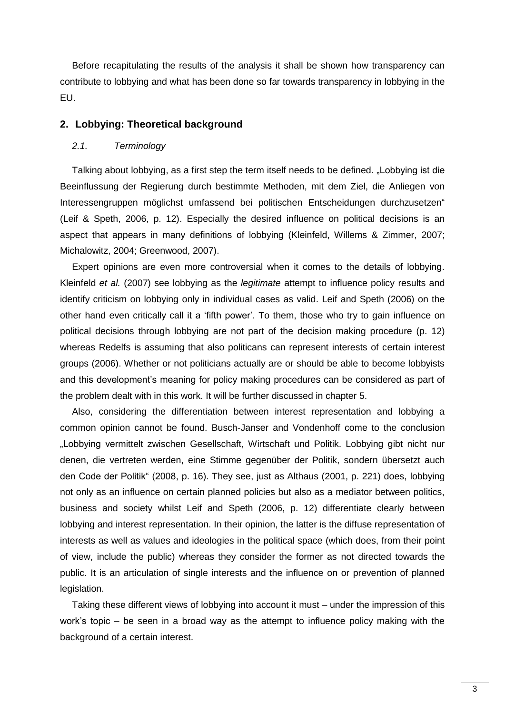Before recapitulating the results of the analysis it shall be shown how transparency can contribute to lobbying and what has been done so far towards transparency in lobbying in the EU.

#### <span id="page-7-0"></span>**2. Lobbying: Theoretical background**

#### <span id="page-7-1"></span>*2.1. Terminology*

Talking about lobbying, as a first step the term itself needs to be defined. "Lobbying ist die Beeinflussung der Regierung durch bestimmte Methoden, mit dem Ziel, die Anliegen von Interessengruppen möglichst umfassend bei politischen Entscheidungen durchzusetzen" (Leif & Speth, 2006, p. 12). Especially the desired influence on political decisions is an aspect that appears in many definitions of lobbying (Kleinfeld, Willems & Zimmer, 2007; Michalowitz, 2004; Greenwood, 2007).

Expert opinions are even more controversial when it comes to the details of lobbying. Kleinfeld *et al.* (2007) see lobbying as the *legitimate* attempt to influence policy results and identify criticism on lobbying only in individual cases as valid. Leif and Speth (2006) on the other hand even critically call it a "fifth power". To them, those who try to gain influence on political decisions through lobbying are not part of the decision making procedure (p. 12) whereas Redelfs is assuming that also politicans can represent interests of certain interest groups (2006). Whether or not politicians actually are or should be able to become lobbyists and this development's meaning for policy making procedures can be considered as part of the problem dealt with in this work. It will be further discussed in chapter 5.

Also, considering the differentiation between interest representation and lobbying a common opinion cannot be found. Busch-Janser and Vondenhoff come to the conclusion "Lobbying vermittelt zwischen Gesellschaft, Wirtschaft und Politik. Lobbying gibt nicht nur denen, die vertreten werden, eine Stimme gegenüber der Politik, sondern übersetzt auch den Code der Politik" (2008, p. 16). They see, just as Althaus (2001, p. 221) does, lobbying not only as an influence on certain planned policies but also as a mediator between politics, business and society whilst Leif and Speth (2006, p. 12) differentiate clearly between lobbying and interest representation. In their opinion, the latter is the diffuse representation of interests as well as values and ideologies in the political space (which does, from their point of view, include the public) whereas they consider the former as not directed towards the public. It is an articulation of single interests and the influence on or prevention of planned legislation.

Taking these different views of lobbying into account it must – under the impression of this work"s topic – be seen in a broad way as the attempt to influence policy making with the background of a certain interest.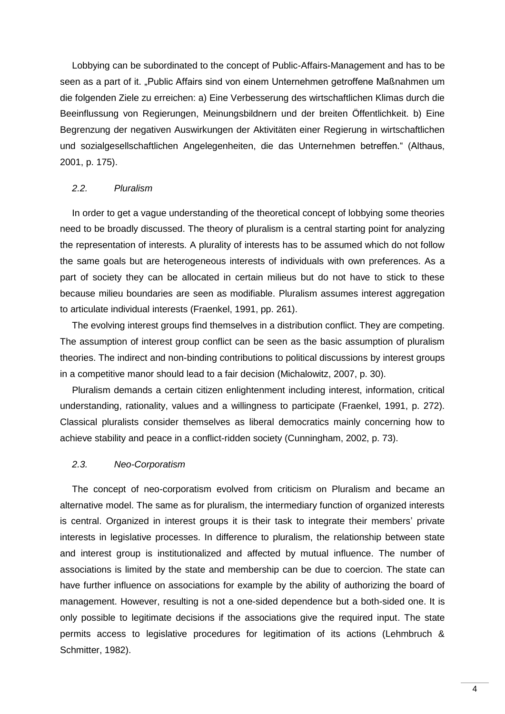Lobbying can be subordinated to the concept of Public-Affairs-Management and has to be seen as a part of it. "Public Affairs sind von einem Unternehmen getroffene Maßnahmen um die folgenden Ziele zu erreichen: a) Eine Verbesserung des wirtschaftlichen Klimas durch die Beeinflussung von Regierungen, Meinungsbildnern und der breiten Öffentlichkeit. b) Eine Begrenzung der negativen Auswirkungen der Aktivitäten einer Regierung in wirtschaftlichen und sozialgesellschaftlichen Angelegenheiten, die das Unternehmen betreffen." (Althaus, 2001, p. 175).

#### <span id="page-8-0"></span>*2.2. Pluralism*

In order to get a vague understanding of the theoretical concept of lobbying some theories need to be broadly discussed. The theory of pluralism is a central starting point for analyzing the representation of interests. A plurality of interests has to be assumed which do not follow the same goals but are heterogeneous interests of individuals with own preferences. As a part of society they can be allocated in certain milieus but do not have to stick to these because milieu boundaries are seen as modifiable. Pluralism assumes interest aggregation to articulate individual interests (Fraenkel, 1991, pp. 261).

The evolving interest groups find themselves in a distribution conflict. They are competing. The assumption of interest group conflict can be seen as the basic assumption of pluralism theories. The indirect and non-binding contributions to political discussions by interest groups in a competitive manor should lead to a fair decision (Michalowitz, 2007, p. 30).

Pluralism demands a certain citizen enlightenment including interest, information, critical understanding, rationality, values and a willingness to participate (Fraenkel, 1991, p. 272). Classical pluralists consider themselves as liberal democratics mainly concerning how to achieve stability and peace in a conflict-ridden society (Cunningham, 2002, p. 73).

#### <span id="page-8-1"></span>*2.3. Neo-Corporatism*

The concept of neo-corporatism evolved from criticism on Pluralism and became an alternative model. The same as for pluralism, the intermediary function of organized interests is central. Organized in interest groups it is their task to integrate their members" private interests in legislative processes. In difference to pluralism, the relationship between state and interest group is institutionalized and affected by mutual influence. The number of associations is limited by the state and membership can be due to coercion. The state can have further influence on associations for example by the ability of authorizing the board of management. However, resulting is not a one-sided dependence but a both-sided one. It is only possible to legitimate decisions if the associations give the required input. The state permits access to legislative procedures for legitimation of its actions (Lehmbruch & Schmitter, 1982).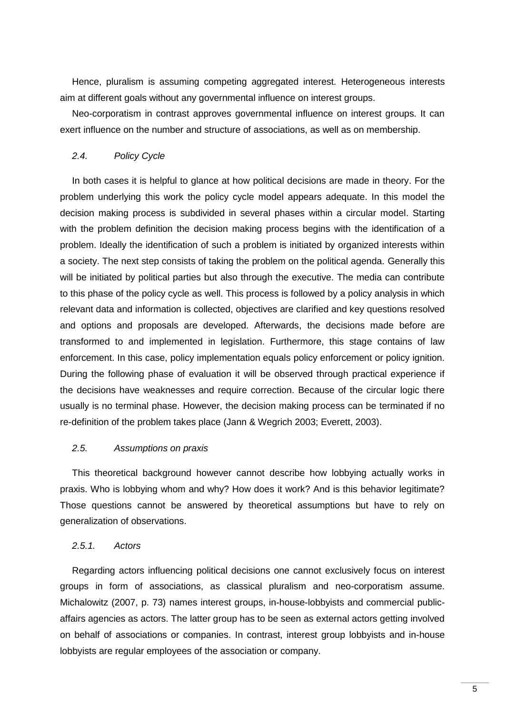Hence, pluralism is assuming competing aggregated interest. Heterogeneous interests aim at different goals without any governmental influence on interest groups.

Neo-corporatism in contrast approves governmental influence on interest groups. It can exert influence on the number and structure of associations, as well as on membership.

# <span id="page-9-0"></span>*2.4. Policy Cycle*

In both cases it is helpful to glance at how political decisions are made in theory. For the problem underlying this work the policy cycle model appears adequate. In this model the decision making process is subdivided in several phases within a circular model. Starting with the problem definition the decision making process begins with the identification of a problem. Ideally the identification of such a problem is initiated by organized interests within a society. The next step consists of taking the problem on the political agenda. Generally this will be initiated by political parties but also through the executive. The media can contribute to this phase of the policy cycle as well. This process is followed by a policy analysis in which relevant data and information is collected, objectives are clarified and key questions resolved and options and proposals are developed. Afterwards, the decisions made before are transformed to and implemented in legislation. Furthermore, this stage contains of law enforcement. In this case, policy implementation equals policy enforcement or policy ignition. During the following phase of evaluation it will be observed through practical experience if the decisions have weaknesses and require correction. Because of the circular logic there usually is no terminal phase. However, the decision making process can be terminated if no re-definition of the problem takes place (Jann & Wegrich 2003; Everett, 2003).

#### <span id="page-9-1"></span>*2.5. Assumptions on praxis*

This theoretical background however cannot describe how lobbying actually works in praxis. Who is lobbying whom and why? How does it work? And is this behavior legitimate? Those questions cannot be answered by theoretical assumptions but have to rely on generalization of observations.

## <span id="page-9-2"></span>*2.5.1. Actors*

Regarding actors influencing political decisions one cannot exclusively focus on interest groups in form of associations, as classical pluralism and neo-corporatism assume. Michalowitz (2007, p. 73) names interest groups, in-house-lobbyists and commercial publicaffairs agencies as actors. The latter group has to be seen as external actors getting involved on behalf of associations or companies. In contrast, interest group lobbyists and in-house lobbyists are regular employees of the association or company.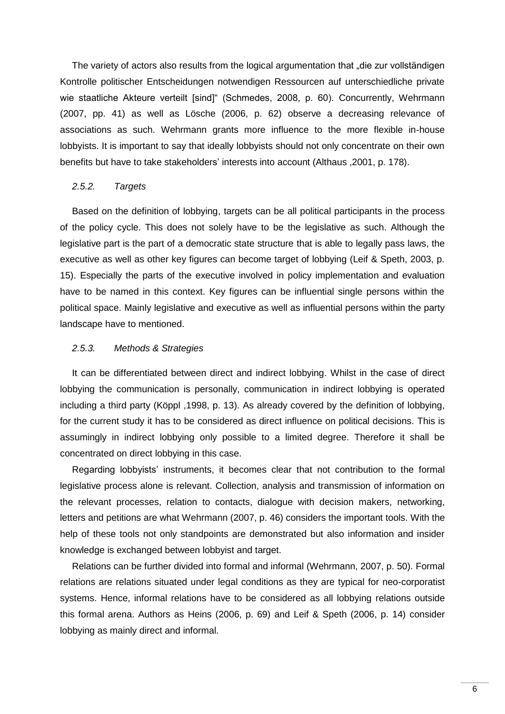The variety of actors also results from the logical argumentation that "die zur vollständigen Kontrolle politischer Entscheidungen notwendigen Ressourcen auf unterschiedliche private wie staatliche Akteure verteilt [sind]" (Schmedes, 2008, p. 60). Concurrently, Wehrmann (2007, pp. 41) as well as Lösche (2006, p. 62) observe a decreasing relevance of associations as such. Wehrmann grants more influence to the more flexible in-house lobbyists. It is important to say that ideally lobbyists should not only concentrate on their own benefits but have to take stakeholders' interests into account (Althaus , 2001, p. 178).

#### <span id="page-10-0"></span>*2.5.2. Targets*

Based on the definition of lobbying, targets can be all political participants in the process of the policy cycle. This does not solely have to be the legislative as such. Although the legislative part is the part of a democratic state structure that is able to legally pass laws, the executive as well as other key figures can become target of lobbying (Leif & Speth, 2003, p. 15). Especially the parts of the executive involved in policy implementation and evaluation have to be named in this context. Key figures can be influential single persons within the political space. Mainly legislative and executive as well as influential persons within the party landscape have to mentioned.

#### <span id="page-10-1"></span>*2.5.3. Methods & Strategies*

It can be differentiated between direct and indirect lobbying. Whilst in the case of direct lobbying the communication is personally, communication in indirect lobbying is operated including a third party (Köppl ,1998, p. 13). As already covered by the definition of lobbying, for the current study it has to be considered as direct influence on political decisions. This is assumingly in indirect lobbying only possible to a limited degree. Therefore it shall be concentrated on direct lobbying in this case.

Regarding lobbyists' instruments, it becomes clear that not contribution to the formal legislative process alone is relevant. Collection, analysis and transmission of information on the relevant processes, relation to contacts, dialogue with decision makers, networking, letters and petitions are what Wehrmann (2007, p. 46) considers the important tools. With the help of these tools not only standpoints are demonstrated but also information and insider knowledge is exchanged between lobbyist and target.

Relations can be further divided into formal and informal (Wehrmann, 2007, p. 50). Formal relations are relations situated under legal conditions as they are typical for neo-corporatist systems. Hence, informal relations have to be considered as all lobbying relations outside this formal arena. Authors as Heins (2006, p. 69) and Leif & Speth (2006, p. 14) consider lobbying as mainly direct and informal.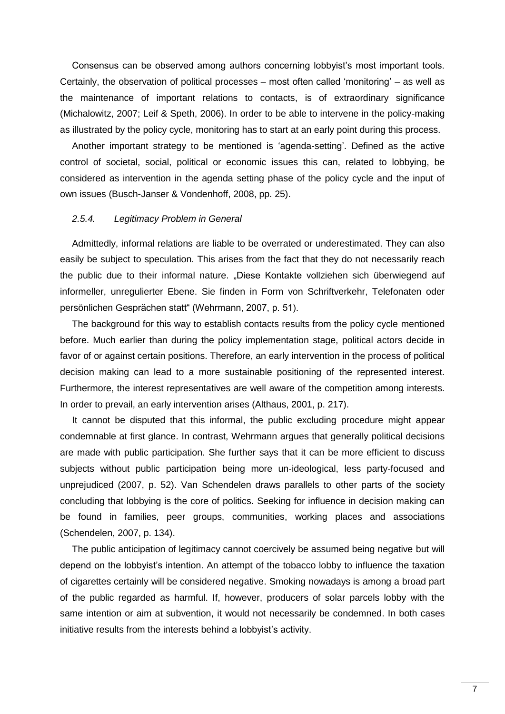Consensus can be observed among authors concerning lobbyist's most important tools. Certainly, the observation of political processes – most often called "monitoring" – as well as the maintenance of important relations to contacts, is of extraordinary significance (Michalowitz, 2007; Leif & Speth, 2006). In order to be able to intervene in the policy-making as illustrated by the policy cycle, monitoring has to start at an early point during this process.

Another important strategy to be mentioned is "agenda-setting". Defined as the active control of societal, social, political or economic issues this can, related to lobbying, be considered as intervention in the agenda setting phase of the policy cycle and the input of own issues (Busch-Janser & Vondenhoff, 2008, pp. 25).

# <span id="page-11-0"></span>*2.5.4. Legitimacy Problem in General*

Admittedly, informal relations are liable to be overrated or underestimated. They can also easily be subject to speculation. This arises from the fact that they do not necessarily reach the public due to their informal nature. "Diese Kontakte vollziehen sich überwiegend auf informeller, unregulierter Ebene. Sie finden in Form von Schriftverkehr, Telefonaten oder persönlichen Gesprächen statt" (Wehrmann, 2007, p. 51).

The background for this way to establish contacts results from the policy cycle mentioned before. Much earlier than during the policy implementation stage, political actors decide in favor of or against certain positions. Therefore, an early intervention in the process of political decision making can lead to a more sustainable positioning of the represented interest. Furthermore, the interest representatives are well aware of the competition among interests. In order to prevail, an early intervention arises (Althaus, 2001, p. 217).

It cannot be disputed that this informal, the public excluding procedure might appear condemnable at first glance. In contrast, Wehrmann argues that generally political decisions are made with public participation. She further says that it can be more efficient to discuss subjects without public participation being more un-ideological, less party-focused and unprejudiced (2007, p. 52). Van Schendelen draws parallels to other parts of the society concluding that lobbying is the core of politics. Seeking for influence in decision making can be found in families, peer groups, communities, working places and associations (Schendelen, 2007, p. 134).

The public anticipation of legitimacy cannot coercively be assumed being negative but will depend on the lobbyist"s intention. An attempt of the tobacco lobby to influence the taxation of cigarettes certainly will be considered negative. Smoking nowadays is among a broad part of the public regarded as harmful. If, however, producers of solar parcels lobby with the same intention or aim at subvention, it would not necessarily be condemned. In both cases initiative results from the interests behind a lobbyist's activity.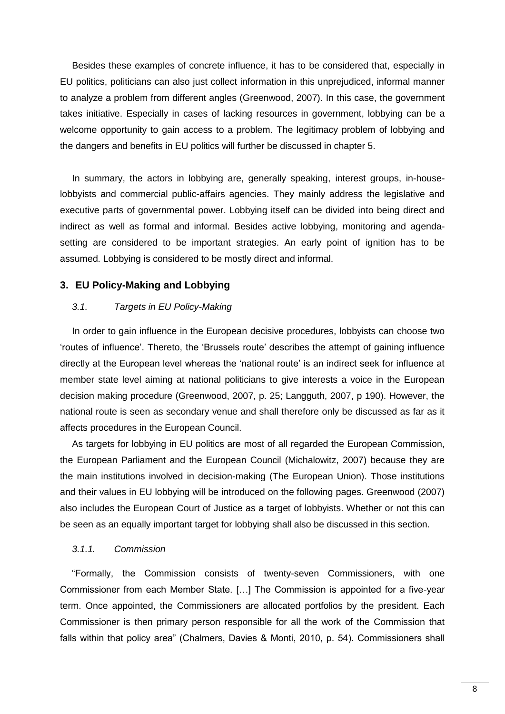Besides these examples of concrete influence, it has to be considered that, especially in EU politics, politicians can also just collect information in this unprejudiced, informal manner to analyze a problem from different angles (Greenwood, 2007). In this case, the government takes initiative. Especially in cases of lacking resources in government, lobbying can be a welcome opportunity to gain access to a problem. The legitimacy problem of lobbying and the dangers and benefits in EU politics will further be discussed in chapter 5.

In summary, the actors in lobbying are, generally speaking, interest groups, in-houselobbyists and commercial public-affairs agencies. They mainly address the legislative and executive parts of governmental power. Lobbying itself can be divided into being direct and indirect as well as formal and informal. Besides active lobbying, monitoring and agendasetting are considered to be important strategies. An early point of ignition has to be assumed. Lobbying is considered to be mostly direct and informal.

## <span id="page-12-0"></span>**3. EU Policy-Making and Lobbying**

#### <span id="page-12-1"></span>*3.1. Targets in EU Policy-Making*

In order to gain influence in the European decisive procedures, lobbyists can choose two "routes of influence". Thereto, the "Brussels route" describes the attempt of gaining influence directly at the European level whereas the "national route" is an indirect seek for influence at member state level aiming at national politicians to give interests a voice in the European decision making procedure (Greenwood, 2007, p. 25; Langguth, 2007, p 190). However, the national route is seen as secondary venue and shall therefore only be discussed as far as it affects procedures in the European Council.

As targets for lobbying in EU politics are most of all regarded the European Commission, the European Parliament and the European Council (Michalowitz, 2007) because they are the main institutions involved in decision-making (The European Union). Those institutions and their values in EU lobbying will be introduced on the following pages. Greenwood (2007) also includes the European Court of Justice as a target of lobbyists. Whether or not this can be seen as an equally important target for lobbying shall also be discussed in this section.

#### <span id="page-12-2"></span>*3.1.1. Commission*

"Formally, the Commission consists of twenty-seven Commissioners, with one Commissioner from each Member State. […] The Commission is appointed for a five-year term. Once appointed, the Commissioners are allocated portfolios by the president. Each Commissioner is then primary person responsible for all the work of the Commission that falls within that policy area" (Chalmers, Davies & Monti, 2010, p. 54). Commissioners shall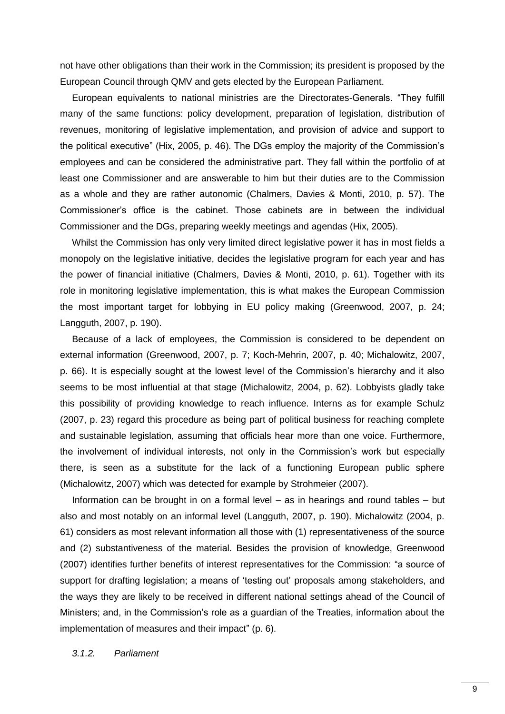not have other obligations than their work in the Commission; its president is proposed by the European Council through QMV and gets elected by the European Parliament.

European equivalents to national ministries are the Directorates-Generals. "They fulfill many of the same functions: policy development, preparation of legislation, distribution of revenues, monitoring of legislative implementation, and provision of advice and support to the political executive" (Hix, 2005, p. 46). The DGs employ the majority of the Commission"s employees and can be considered the administrative part. They fall within the portfolio of at least one Commissioner and are answerable to him but their duties are to the Commission as a whole and they are rather autonomic (Chalmers, Davies & Monti, 2010, p. 57). The Commissioner"s office is the cabinet. Those cabinets are in between the individual Commissioner and the DGs, preparing weekly meetings and agendas (Hix, 2005).

Whilst the Commission has only very limited direct legislative power it has in most fields a monopoly on the legislative initiative, decides the legislative program for each year and has the power of financial initiative (Chalmers, Davies & Monti, 2010, p. 61). Together with its role in monitoring legislative implementation, this is what makes the European Commission the most important target for lobbying in EU policy making (Greenwood, 2007, p. 24; Langguth, 2007, p. 190).

Because of a lack of employees, the Commission is considered to be dependent on external information (Greenwood, 2007, p. 7; Koch-Mehrin, 2007, p. 40; Michalowitz, 2007, p. 66). It is especially sought at the lowest level of the Commission"s hierarchy and it also seems to be most influential at that stage (Michalowitz, 2004, p. 62). Lobbyists gladly take this possibility of providing knowledge to reach influence. Interns as for example Schulz (2007, p. 23) regard this procedure as being part of political business for reaching complete and sustainable legislation, assuming that officials hear more than one voice. Furthermore, the involvement of individual interests, not only in the Commission"s work but especially there, is seen as a substitute for the lack of a functioning European public sphere (Michalowitz, 2007) which was detected for example by Strohmeier (2007).

Information can be brought in on a formal level – as in hearings and round tables – but also and most notably on an informal level (Langguth, 2007, p. 190). Michalowitz (2004, p. 61) considers as most relevant information all those with (1) representativeness of the source and (2) substantiveness of the material. Besides the provision of knowledge, Greenwood (2007) identifies further benefits of interest representatives for the Commission: "a source of support for drafting legislation; a means of "testing out" proposals among stakeholders, and the ways they are likely to be received in different national settings ahead of the Council of Ministers; and, in the Commission"s role as a guardian of the Treaties, information about the implementation of measures and their impact" (p. 6).

# <span id="page-13-0"></span>*3.1.2. Parliament*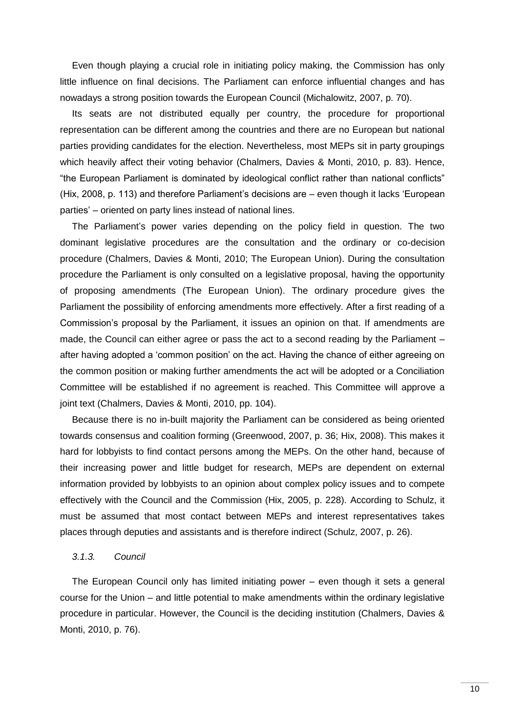Even though playing a crucial role in initiating policy making, the Commission has only little influence on final decisions. The Parliament can enforce influential changes and has nowadays a strong position towards the European Council (Michalowitz, 2007, p. 70).

Its seats are not distributed equally per country, the procedure for proportional representation can be different among the countries and there are no European but national parties providing candidates for the election. Nevertheless, most MEPs sit in party groupings which heavily affect their voting behavior (Chalmers, Davies & Monti, 2010, p. 83). Hence, "the European Parliament is dominated by ideological conflict rather than national conflicts" (Hix, 2008, p. 113) and therefore Parliament"s decisions are – even though it lacks "European parties" – oriented on party lines instead of national lines.

The Parliament's power varies depending on the policy field in question. The two dominant legislative procedures are the consultation and the ordinary or co-decision procedure (Chalmers, Davies & Monti, 2010; The European Union). During the consultation procedure the Parliament is only consulted on a legislative proposal, having the opportunity of proposing amendments (The European Union). The ordinary procedure gives the Parliament the possibility of enforcing amendments more effectively. After a first reading of a Commission"s proposal by the Parliament, it issues an opinion on that. If amendments are made, the Council can either agree or pass the act to a second reading by the Parliament – after having adopted a "common position" on the act. Having the chance of either agreeing on the common position or making further amendments the act will be adopted or a Conciliation Committee will be established if no agreement is reached. This Committee will approve a joint text (Chalmers, Davies & Monti, 2010, pp. 104).

Because there is no in-built majority the Parliament can be considered as being oriented towards consensus and coalition forming (Greenwood, 2007, p. 36; Hix, 2008). This makes it hard for lobbyists to find contact persons among the MEPs. On the other hand, because of their increasing power and little budget for research, MEPs are dependent on external information provided by lobbyists to an opinion about complex policy issues and to compete effectively with the Council and the Commission (Hix, 2005, p. 228). According to Schulz, it must be assumed that most contact between MEPs and interest representatives takes places through deputies and assistants and is therefore indirect (Schulz, 2007, p. 26).

#### <span id="page-14-0"></span>*3.1.3. Council*

The European Council only has limited initiating power – even though it sets a general course for the Union – and little potential to make amendments within the ordinary legislative procedure in particular. However, the Council is the deciding institution (Chalmers, Davies & Monti, 2010, p. 76).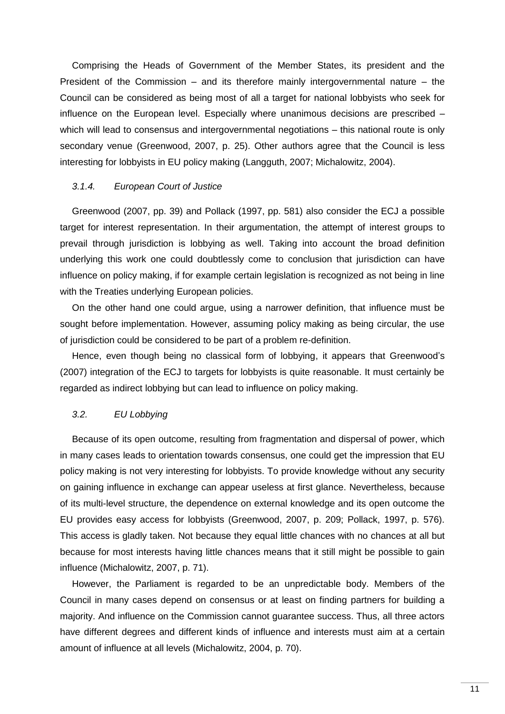Comprising the Heads of Government of the Member States, its president and the President of the Commission – and its therefore mainly intergovernmental nature – the Council can be considered as being most of all a target for national lobbyists who seek for influence on the European level. Especially where unanimous decisions are prescribed – which will lead to consensus and intergovernmental negotiations – this national route is only secondary venue (Greenwood, 2007, p. 25). Other authors agree that the Council is less interesting for lobbyists in EU policy making (Langguth, 2007; Michalowitz, 2004).

## <span id="page-15-0"></span>*3.1.4. European Court of Justice*

Greenwood (2007, pp. 39) and Pollack (1997, pp. 581) also consider the ECJ a possible target for interest representation. In their argumentation, the attempt of interest groups to prevail through jurisdiction is lobbying as well. Taking into account the broad definition underlying this work one could doubtlessly come to conclusion that jurisdiction can have influence on policy making, if for example certain legislation is recognized as not being in line with the Treaties underlying European policies.

On the other hand one could argue, using a narrower definition, that influence must be sought before implementation. However, assuming policy making as being circular, the use of jurisdiction could be considered to be part of a problem re-definition.

Hence, even though being no classical form of lobbying, it appears that Greenwood"s (2007) integration of the ECJ to targets for lobbyists is quite reasonable. It must certainly be regarded as indirect lobbying but can lead to influence on policy making.

#### <span id="page-15-1"></span>*3.2. EU Lobbying*

Because of its open outcome, resulting from fragmentation and dispersal of power, which in many cases leads to orientation towards consensus, one could get the impression that EU policy making is not very interesting for lobbyists. To provide knowledge without any security on gaining influence in exchange can appear useless at first glance. Nevertheless, because of its multi-level structure, the dependence on external knowledge and its open outcome the EU provides easy access for lobbyists (Greenwood, 2007, p. 209; Pollack, 1997, p. 576). This access is gladly taken. Not because they equal little chances with no chances at all but because for most interests having little chances means that it still might be possible to gain influence (Michalowitz, 2007, p. 71).

However, the Parliament is regarded to be an unpredictable body. Members of the Council in many cases depend on consensus or at least on finding partners for building a majority. And influence on the Commission cannot guarantee success. Thus, all three actors have different degrees and different kinds of influence and interests must aim at a certain amount of influence at all levels (Michalowitz, 2004, p. 70).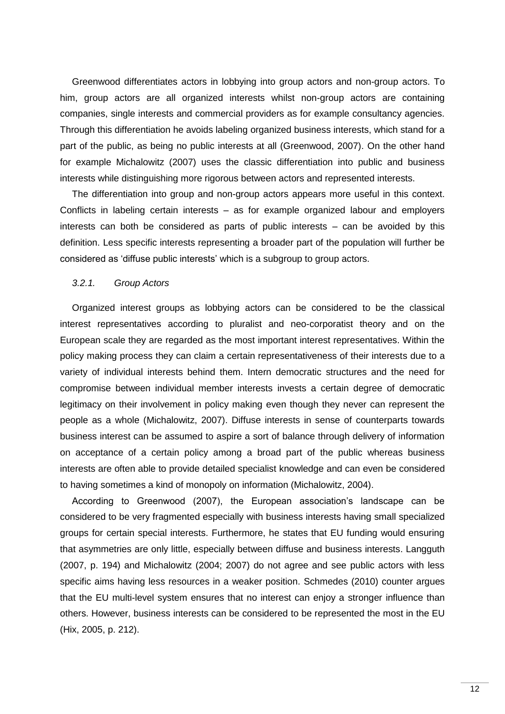Greenwood differentiates actors in lobbying into group actors and non-group actors. To him, group actors are all organized interests whilst non-group actors are containing companies, single interests and commercial providers as for example consultancy agencies. Through this differentiation he avoids labeling organized business interests, which stand for a part of the public, as being no public interests at all (Greenwood, 2007). On the other hand for example Michalowitz (2007) uses the classic differentiation into public and business interests while distinguishing more rigorous between actors and represented interests.

The differentiation into group and non-group actors appears more useful in this context. Conflicts in labeling certain interests – as for example organized labour and employers interests can both be considered as parts of public interests – can be avoided by this definition. Less specific interests representing a broader part of the population will further be considered as "diffuse public interests" which is a subgroup to group actors.

#### <span id="page-16-0"></span>*3.2.1. Group Actors*

Organized interest groups as lobbying actors can be considered to be the classical interest representatives according to pluralist and neo-corporatist theory and on the European scale they are regarded as the most important interest representatives. Within the policy making process they can claim a certain representativeness of their interests due to a variety of individual interests behind them. Intern democratic structures and the need for compromise between individual member interests invests a certain degree of democratic legitimacy on their involvement in policy making even though they never can represent the people as a whole (Michalowitz, 2007). Diffuse interests in sense of counterparts towards business interest can be assumed to aspire a sort of balance through delivery of information on acceptance of a certain policy among a broad part of the public whereas business interests are often able to provide detailed specialist knowledge and can even be considered to having sometimes a kind of monopoly on information (Michalowitz, 2004).

According to Greenwood (2007), the European association"s landscape can be considered to be very fragmented especially with business interests having small specialized groups for certain special interests. Furthermore, he states that EU funding would ensuring that asymmetries are only little, especially between diffuse and business interests. Langguth (2007, p. 194) and Michalowitz (2004; 2007) do not agree and see public actors with less specific aims having less resources in a weaker position. Schmedes (2010) counter argues that the EU multi-level system ensures that no interest can enjoy a stronger influence than others. However, business interests can be considered to be represented the most in the EU (Hix, 2005, p. 212).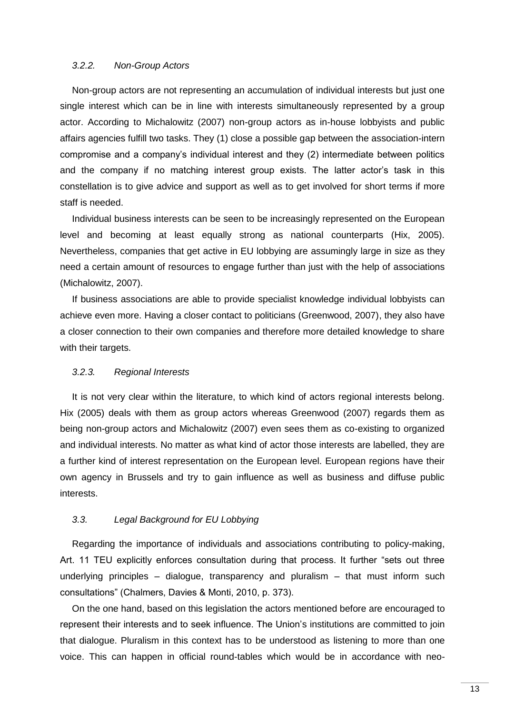# <span id="page-17-0"></span>*3.2.2. Non-Group Actors*

Non-group actors are not representing an accumulation of individual interests but just one single interest which can be in line with interests simultaneously represented by a group actor. According to Michalowitz (2007) non-group actors as in-house lobbyists and public affairs agencies fulfill two tasks. They (1) close a possible gap between the association-intern compromise and a company"s individual interest and they (2) intermediate between politics and the company if no matching interest group exists. The latter actor's task in this constellation is to give advice and support as well as to get involved for short terms if more staff is needed.

Individual business interests can be seen to be increasingly represented on the European level and becoming at least equally strong as national counterparts (Hix, 2005). Nevertheless, companies that get active in EU lobbying are assumingly large in size as they need a certain amount of resources to engage further than just with the help of associations (Michalowitz, 2007).

If business associations are able to provide specialist knowledge individual lobbyists can achieve even more. Having a closer contact to politicians (Greenwood, 2007), they also have a closer connection to their own companies and therefore more detailed knowledge to share with their targets.

#### <span id="page-17-1"></span>*3.2.3. Regional Interests*

It is not very clear within the literature, to which kind of actors regional interests belong. Hix (2005) deals with them as group actors whereas Greenwood (2007) regards them as being non-group actors and Michalowitz (2007) even sees them as co-existing to organized and individual interests. No matter as what kind of actor those interests are labelled, they are a further kind of interest representation on the European level. European regions have their own agency in Brussels and try to gain influence as well as business and diffuse public interests.

#### <span id="page-17-2"></span>*3.3. Legal Background for EU Lobbying*

Regarding the importance of individuals and associations contributing to policy-making, Art. 11 TEU explicitly enforces consultation during that process. It further "sets out three underlying principles – dialogue, transparency and pluralism – that must inform such consultations" (Chalmers, Davies & Monti, 2010, p. 373).

On the one hand, based on this legislation the actors mentioned before are encouraged to represent their interests and to seek influence. The Union"s institutions are committed to join that dialogue. Pluralism in this context has to be understood as listening to more than one voice. This can happen in official round-tables which would be in accordance with neo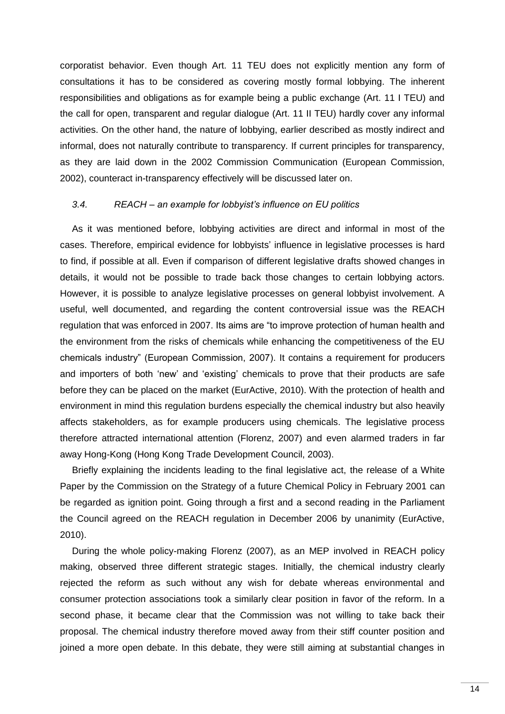corporatist behavior. Even though Art. 11 TEU does not explicitly mention any form of consultations it has to be considered as covering mostly formal lobbying. The inherent responsibilities and obligations as for example being a public exchange (Art. 11 I TEU) and the call for open, transparent and regular dialogue (Art. 11 II TEU) hardly cover any informal activities. On the other hand, the nature of lobbying, earlier described as mostly indirect and informal, does not naturally contribute to transparency. If current principles for transparency, as they are laid down in the 2002 Commission Communication (European Commission, 2002), counteract in-transparency effectively will be discussed later on.

## <span id="page-18-0"></span>*3.4. REACH – an example for lobbyist's influence on EU politics*

As it was mentioned before, lobbying activities are direct and informal in most of the cases. Therefore, empirical evidence for lobbyists' influence in legislative processes is hard to find, if possible at all. Even if comparison of different legislative drafts showed changes in details, it would not be possible to trade back those changes to certain lobbying actors. However, it is possible to analyze legislative processes on general lobbyist involvement. A useful, well documented, and regarding the content controversial issue was the REACH regulation that was enforced in 2007. Its aims are "to improve protection of human health and the environment from the risks of chemicals while enhancing the competitiveness of the EU chemicals industry" (European Commission, 2007). It contains a requirement for producers and importers of both "new" and "existing" chemicals to prove that their products are safe before they can be placed on the market (EurActive, 2010). With the protection of health and environment in mind this regulation burdens especially the chemical industry but also heavily affects stakeholders, as for example producers using chemicals. The legislative process therefore attracted international attention (Florenz, 2007) and even alarmed traders in far away Hong-Kong (Hong Kong Trade Development Council, 2003).

Briefly explaining the incidents leading to the final legislative act, the release of a White Paper by the Commission on the Strategy of a future Chemical Policy in February 2001 can be regarded as ignition point. Going through a first and a second reading in the Parliament the Council agreed on the REACH regulation in December 2006 by unanimity (EurActive, 2010).

During the whole policy-making Florenz (2007), as an MEP involved in REACH policy making, observed three different strategic stages. Initially, the chemical industry clearly rejected the reform as such without any wish for debate whereas environmental and consumer protection associations took a similarly clear position in favor of the reform. In a second phase, it became clear that the Commission was not willing to take back their proposal. The chemical industry therefore moved away from their stiff counter position and ioined a more open debate. In this debate, they were still aiming at substantial changes in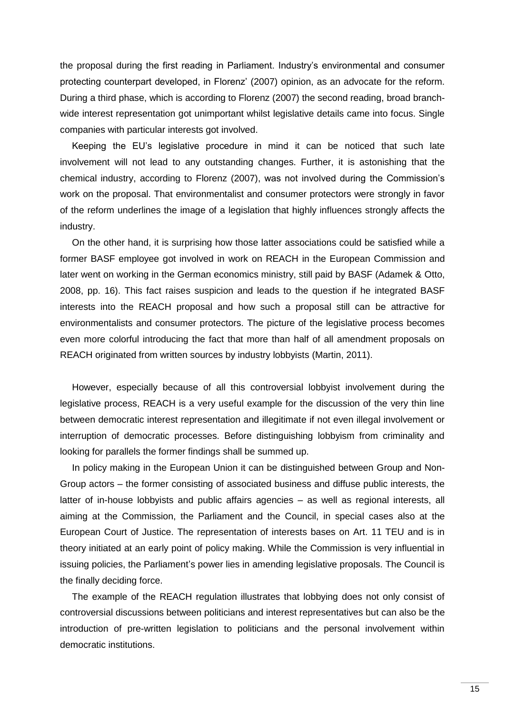the proposal during the first reading in Parliament. Industry"s environmental and consumer protecting counterpart developed, in Florenz" (2007) opinion, as an advocate for the reform. During a third phase, which is according to Florenz (2007) the second reading, broad branchwide interest representation got unimportant whilst legislative details came into focus. Single companies with particular interests got involved.

Keeping the EU"s legislative procedure in mind it can be noticed that such late involvement will not lead to any outstanding changes. Further, it is astonishing that the chemical industry, according to Florenz (2007), was not involved during the Commission"s work on the proposal. That environmentalist and consumer protectors were strongly in favor of the reform underlines the image of a legislation that highly influences strongly affects the industry.

On the other hand, it is surprising how those latter associations could be satisfied while a former BASF employee got involved in work on REACH in the European Commission and later went on working in the German economics ministry, still paid by BASF (Adamek & Otto, 2008, pp. 16). This fact raises suspicion and leads to the question if he integrated BASF interests into the REACH proposal and how such a proposal still can be attractive for environmentalists and consumer protectors. The picture of the legislative process becomes even more colorful introducing the fact that more than half of all amendment proposals on REACH originated from written sources by industry lobbyists (Martin, 2011).

However, especially because of all this controversial lobbyist involvement during the legislative process, REACH is a very useful example for the discussion of the very thin line between democratic interest representation and illegitimate if not even illegal involvement or interruption of democratic processes. Before distinguishing lobbyism from criminality and looking for parallels the former findings shall be summed up.

In policy making in the European Union it can be distinguished between Group and Non-Group actors – the former consisting of associated business and diffuse public interests, the latter of in-house lobbyists and public affairs agencies – as well as regional interests, all aiming at the Commission, the Parliament and the Council, in special cases also at the European Court of Justice. The representation of interests bases on Art. 11 TEU and is in theory initiated at an early point of policy making. While the Commission is very influential in issuing policies, the Parliament's power lies in amending legislative proposals. The Council is the finally deciding force.

The example of the REACH regulation illustrates that lobbying does not only consist of controversial discussions between politicians and interest representatives but can also be the introduction of pre-written legislation to politicians and the personal involvement within democratic institutions.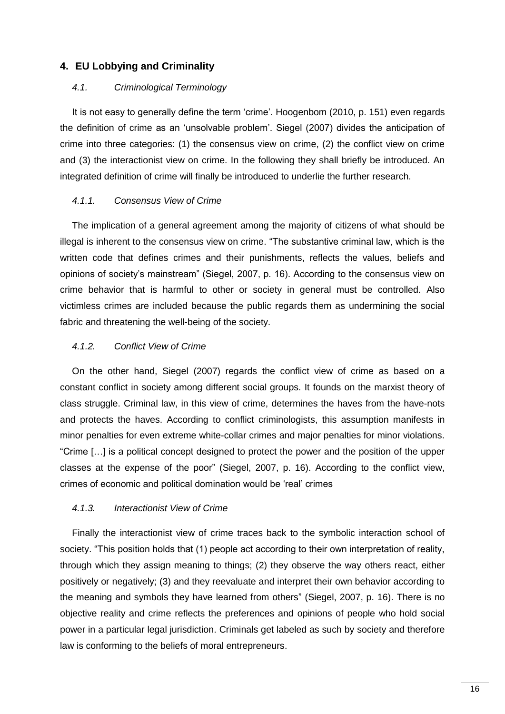# <span id="page-20-0"></span>**4. EU Lobbying and Criminality**

#### <span id="page-20-1"></span>*4.1. Criminological Terminology*

It is not easy to generally define the term 'crime'. Hoogenbom (2010, p. 151) even regards the definition of crime as an "unsolvable problem". Siegel (2007) divides the anticipation of crime into three categories: (1) the consensus view on crime, (2) the conflict view on crime and (3) the interactionist view on crime. In the following they shall briefly be introduced. An integrated definition of crime will finally be introduced to underlie the further research.

# <span id="page-20-2"></span>*4.1.1. Consensus View of Crime*

The implication of a general agreement among the majority of citizens of what should be illegal is inherent to the consensus view on crime. "The substantive criminal law, which is the written code that defines crimes and their punishments, reflects the values, beliefs and opinions of society"s mainstream" (Siegel, 2007, p. 16). According to the consensus view on crime behavior that is harmful to other or society in general must be controlled. Also victimless crimes are included because the public regards them as undermining the social fabric and threatening the well-being of the society.

## <span id="page-20-3"></span>*4.1.2. Conflict View of Crime*

On the other hand, Siegel (2007) regards the conflict view of crime as based on a constant conflict in society among different social groups. It founds on the marxist theory of class struggle. Criminal law, in this view of crime, determines the haves from the have-nots and protects the haves. According to conflict criminologists, this assumption manifests in minor penalties for even extreme white-collar crimes and major penalties for minor violations. "Crime […] is a political concept designed to protect the power and the position of the upper classes at the expense of the poor" (Siegel, 2007, p. 16). According to the conflict view, crimes of economic and political domination would be "real" crimes

# <span id="page-20-4"></span>*4.1.3. Interactionist View of Crime*

Finally the interactionist view of crime traces back to the symbolic interaction school of society. "This position holds that (1) people act according to their own interpretation of reality, through which they assign meaning to things; (2) they observe the way others react, either positively or negatively; (3) and they reevaluate and interpret their own behavior according to the meaning and symbols they have learned from others" (Siegel, 2007, p. 16). There is no objective reality and crime reflects the preferences and opinions of people who hold social power in a particular legal jurisdiction. Criminals get labeled as such by society and therefore law is conforming to the beliefs of moral entrepreneurs.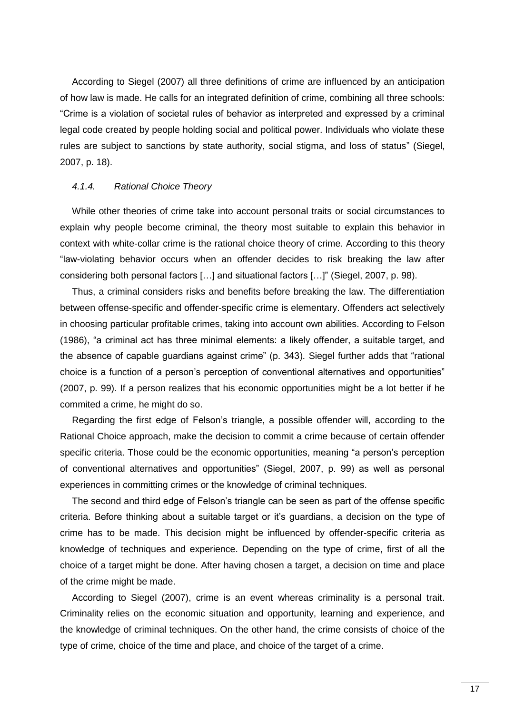According to Siegel (2007) all three definitions of crime are influenced by an anticipation of how law is made. He calls for an integrated definition of crime, combining all three schools: "Crime is a violation of societal rules of behavior as interpreted and expressed by a criminal legal code created by people holding social and political power. Individuals who violate these rules are subject to sanctions by state authority, social stigma, and loss of status" (Siegel, 2007, p. 18).

#### <span id="page-21-0"></span>*4.1.4. Rational Choice Theory*

While other theories of crime take into account personal traits or social circumstances to explain why people become criminal, the theory most suitable to explain this behavior in context with white-collar crime is the rational choice theory of crime. According to this theory "law-violating behavior occurs when an offender decides to risk breaking the law after considering both personal factors […] and situational factors […]" (Siegel, 2007, p. 98).

Thus, a criminal considers risks and benefits before breaking the law. The differentiation between offense-specific and offender-specific crime is elementary. Offenders act selectively in choosing particular profitable crimes, taking into account own abilities. According to Felson (1986), "a criminal act has three minimal elements: a likely offender, a suitable target, and the absence of capable guardians against crime" (p. 343). Siegel further adds that "rational choice is a function of a person"s perception of conventional alternatives and opportunities" (2007, p. 99). If a person realizes that his economic opportunities might be a lot better if he commited a crime, he might do so.

Regarding the first edge of Felson"s triangle, a possible offender will, according to the Rational Choice approach, make the decision to commit a crime because of certain offender specific criteria. Those could be the economic opportunities, meaning "a person's perception of conventional alternatives and opportunities" (Siegel, 2007, p. 99) as well as personal experiences in committing crimes or the knowledge of criminal techniques.

The second and third edge of Felson"s triangle can be seen as part of the offense specific criteria. Before thinking about a suitable target or it"s guardians, a decision on the type of crime has to be made. This decision might be influenced by offender-specific criteria as knowledge of techniques and experience. Depending on the type of crime, first of all the choice of a target might be done. After having chosen a target, a decision on time and place of the crime might be made.

According to Siegel (2007), crime is an event whereas criminality is a personal trait. Criminality relies on the economic situation and opportunity, learning and experience, and the knowledge of criminal techniques. On the other hand, the crime consists of choice of the type of crime, choice of the time and place, and choice of the target of a crime.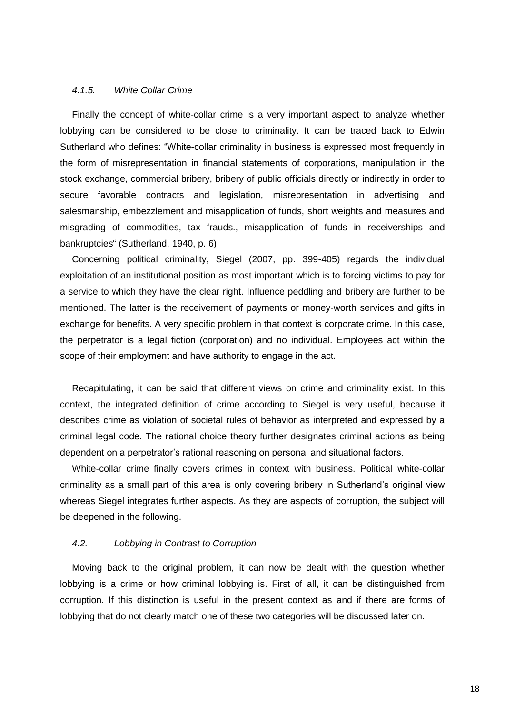#### <span id="page-22-0"></span>*4.1.5. White Collar Crime*

Finally the concept of white-collar crime is a very important aspect to analyze whether lobbying can be considered to be close to criminality. It can be traced back to Edwin Sutherland who defines: "White-collar criminality in business is expressed most frequently in the form of misrepresentation in financial statements of corporations, manipulation in the stock exchange, commercial bribery, bribery of public officials directly or indirectly in order to secure favorable contracts and legislation, misrepresentation in advertising and salesmanship, embezzlement and misapplication of funds, short weights and measures and misgrading of commodities, tax frauds., misapplication of funds in receiverships and bankruptcies" (Sutherland, 1940, p. 6).

Concerning political criminality, Siegel (2007, pp. 399-405) regards the individual exploitation of an institutional position as most important which is to forcing victims to pay for a service to which they have the clear right. Influence peddling and bribery are further to be mentioned. The latter is the receivement of payments or money-worth services and gifts in exchange for benefits. A very specific problem in that context is corporate crime. In this case, the perpetrator is a legal fiction (corporation) and no individual. Employees act within the scope of their employment and have authority to engage in the act.

Recapitulating, it can be said that different views on crime and criminality exist. In this context, the integrated definition of crime according to Siegel is very useful, because it describes crime as violation of societal rules of behavior as interpreted and expressed by a criminal legal code. The rational choice theory further designates criminal actions as being dependent on a perpetrator"s rational reasoning on personal and situational factors.

White-collar crime finally covers crimes in context with business. Political white-collar criminality as a small part of this area is only covering bribery in Sutherland"s original view whereas Siegel integrates further aspects. As they are aspects of corruption, the subject will be deepened in the following.

# <span id="page-22-1"></span>*4.2. Lobbying in Contrast to Corruption*

Moving back to the original problem, it can now be dealt with the question whether lobbying is a crime or how criminal lobbying is. First of all, it can be distinguished from corruption. If this distinction is useful in the present context as and if there are forms of lobbying that do not clearly match one of these two categories will be discussed later on.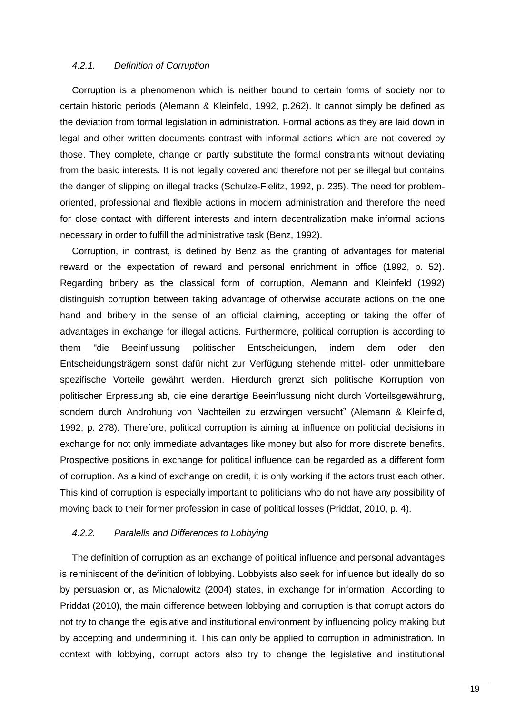# <span id="page-23-0"></span>*4.2.1. Definition of Corruption*

Corruption is a phenomenon which is neither bound to certain forms of society nor to certain historic periods (Alemann & Kleinfeld, 1992, p.262). It cannot simply be defined as the deviation from formal legislation in administration. Formal actions as they are laid down in legal and other written documents contrast with informal actions which are not covered by those. They complete, change or partly substitute the formal constraints without deviating from the basic interests. It is not legally covered and therefore not per se illegal but contains the danger of slipping on illegal tracks (Schulze-Fielitz, 1992, p. 235). The need for problemoriented, professional and flexible actions in modern administration and therefore the need for close contact with different interests and intern decentralization make informal actions necessary in order to fulfill the administrative task (Benz, 1992).

Corruption, in contrast, is defined by Benz as the granting of advantages for material reward or the expectation of reward and personal enrichment in office (1992, p. 52). Regarding bribery as the classical form of corruption, Alemann and Kleinfeld (1992) distinguish corruption between taking advantage of otherwise accurate actions on the one hand and bribery in the sense of an official claiming, accepting or taking the offer of advantages in exchange for illegal actions. Furthermore, political corruption is according to them "die Beeinflussung politischer Entscheidungen, indem dem oder den Entscheidungsträgern sonst dafür nicht zur Verfügung stehende mittel- oder unmittelbare spezifische Vorteile gewährt werden. Hierdurch grenzt sich politische Korruption von politischer Erpressung ab, die eine derartige Beeinflussung nicht durch Vorteilsgewährung, sondern durch Androhung von Nachteilen zu erzwingen versucht" (Alemann & Kleinfeld, 1992, p. 278). Therefore, political corruption is aiming at influence on politicial decisions in exchange for not only immediate advantages like money but also for more discrete benefits. Prospective positions in exchange for political influence can be regarded as a different form of corruption. As a kind of exchange on credit, it is only working if the actors trust each other. This kind of corruption is especially important to politicians who do not have any possibility of moving back to their former profession in case of political losses (Priddat, 2010, p. 4).

#### <span id="page-23-1"></span>*4.2.2. Paralells and Differences to Lobbying*

The definition of corruption as an exchange of political influence and personal advantages is reminiscent of the definition of lobbying. Lobbyists also seek for influence but ideally do so by persuasion or, as Michalowitz (2004) states, in exchange for information. According to Priddat (2010), the main difference between lobbying and corruption is that corrupt actors do not try to change the legislative and institutional environment by influencing policy making but by accepting and undermining it. This can only be applied to corruption in administration. In context with lobbying, corrupt actors also try to change the legislative and institutional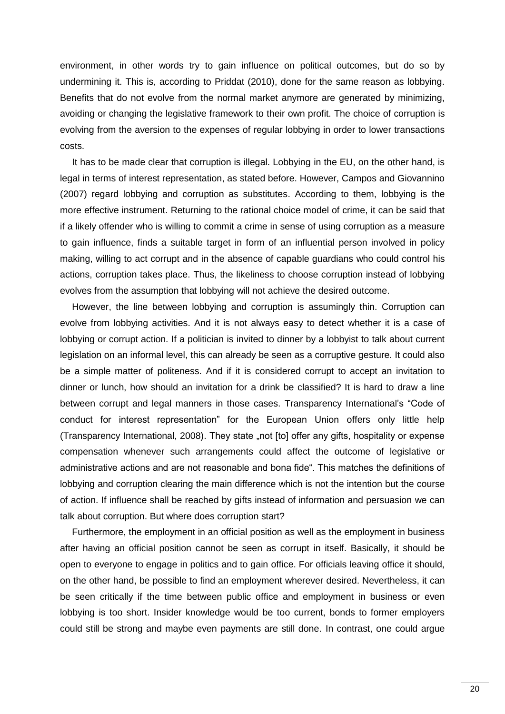environment, in other words try to gain influence on political outcomes, but do so by undermining it. This is, according to Priddat (2010), done for the same reason as lobbying. Benefits that do not evolve from the normal market anymore are generated by minimizing, avoiding or changing the legislative framework to their own profit. The choice of corruption is evolving from the aversion to the expenses of regular lobbying in order to lower transactions costs.

It has to be made clear that corruption is illegal. Lobbying in the EU, on the other hand, is legal in terms of interest representation, as stated before. However, Campos and Giovannino (2007) regard lobbying and corruption as substitutes. According to them, lobbying is the more effective instrument. Returning to the rational choice model of crime, it can be said that if a likely offender who is willing to commit a crime in sense of using corruption as a measure to gain influence, finds a suitable target in form of an influential person involved in policy making, willing to act corrupt and in the absence of capable guardians who could control his actions, corruption takes place. Thus, the likeliness to choose corruption instead of lobbying evolves from the assumption that lobbying will not achieve the desired outcome.

However, the line between lobbying and corruption is assumingly thin. Corruption can evolve from lobbying activities. And it is not always easy to detect whether it is a case of lobbying or corrupt action. If a politician is invited to dinner by a lobbyist to talk about current legislation on an informal level, this can already be seen as a corruptive gesture. It could also be a simple matter of politeness. And if it is considered corrupt to accept an invitation to dinner or lunch, how should an invitation for a drink be classified? It is hard to draw a line between corrupt and legal manners in those cases. Transparency International's "Code of conduct for interest representation" for the European Union offers only little help (Transparency International, 2008). They state "not [to] offer any gifts, hospitality or expense compensation whenever such arrangements could affect the outcome of legislative or administrative actions and are not reasonable and bona fide". This matches the definitions of lobbying and corruption clearing the main difference which is not the intention but the course of action. If influence shall be reached by gifts instead of information and persuasion we can talk about corruption. But where does corruption start?

Furthermore, the employment in an official position as well as the employment in business after having an official position cannot be seen as corrupt in itself. Basically, it should be open to everyone to engage in politics and to gain office. For officials leaving office it should, on the other hand, be possible to find an employment wherever desired. Nevertheless, it can be seen critically if the time between public office and employment in business or even lobbying is too short. Insider knowledge would be too current, bonds to former employers could still be strong and maybe even payments are still done. In contrast, one could argue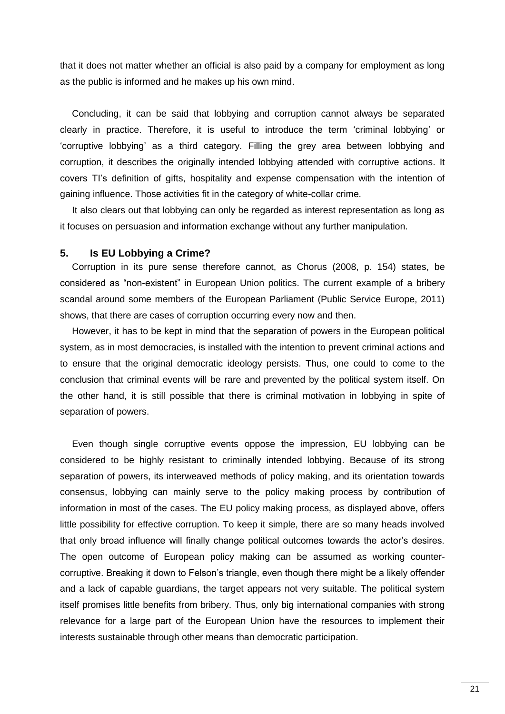that it does not matter whether an official is also paid by a company for employment as long as the public is informed and he makes up his own mind.

Concluding, it can be said that lobbying and corruption cannot always be separated clearly in practice. Therefore, it is useful to introduce the term "criminal lobbying" or "corruptive lobbying" as a third category. Filling the grey area between lobbying and corruption, it describes the originally intended lobbying attended with corruptive actions. It covers TI"s definition of gifts, hospitality and expense compensation with the intention of gaining influence. Those activities fit in the category of white-collar crime.

It also clears out that lobbying can only be regarded as interest representation as long as it focuses on persuasion and information exchange without any further manipulation.

#### <span id="page-25-0"></span>**5. Is EU Lobbying a Crime?**

Corruption in its pure sense therefore cannot, as Chorus (2008, p. 154) states, be considered as "non-existent" in European Union politics. The current example of a bribery scandal around some members of the European Parliament (Public Service Europe, 2011) shows, that there are cases of corruption occurring every now and then.

However, it has to be kept in mind that the separation of powers in the European political system, as in most democracies, is installed with the intention to prevent criminal actions and to ensure that the original democratic ideology persists. Thus, one could to come to the conclusion that criminal events will be rare and prevented by the political system itself. On the other hand, it is still possible that there is criminal motivation in lobbying in spite of separation of powers.

Even though single corruptive events oppose the impression, EU lobbying can be considered to be highly resistant to criminally intended lobbying. Because of its strong separation of powers, its interweaved methods of policy making, and its orientation towards consensus, lobbying can mainly serve to the policy making process by contribution of information in most of the cases. The EU policy making process, as displayed above, offers little possibility for effective corruption. To keep it simple, there are so many heads involved that only broad influence will finally change political outcomes towards the actor"s desires. The open outcome of European policy making can be assumed as working countercorruptive. Breaking it down to Felson"s triangle, even though there might be a likely offender and a lack of capable guardians, the target appears not very suitable. The political system itself promises little benefits from bribery. Thus, only big international companies with strong relevance for a large part of the European Union have the resources to implement their interests sustainable through other means than democratic participation.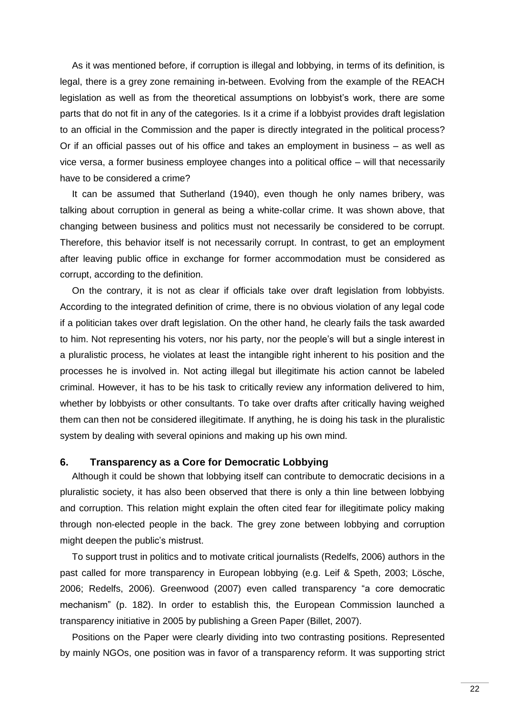As it was mentioned before, if corruption is illegal and lobbying, in terms of its definition, is legal, there is a grey zone remaining in-between. Evolving from the example of the REACH legislation as well as from the theoretical assumptions on lobbyist"s work, there are some parts that do not fit in any of the categories. Is it a crime if a lobbyist provides draft legislation to an official in the Commission and the paper is directly integrated in the political process? Or if an official passes out of his office and takes an employment in business – as well as vice versa, a former business employee changes into a political office – will that necessarily have to be considered a crime?

It can be assumed that Sutherland (1940), even though he only names bribery, was talking about corruption in general as being a white-collar crime. It was shown above, that changing between business and politics must not necessarily be considered to be corrupt. Therefore, this behavior itself is not necessarily corrupt. In contrast, to get an employment after leaving public office in exchange for former accommodation must be considered as corrupt, according to the definition.

On the contrary, it is not as clear if officials take over draft legislation from lobbyists. According to the integrated definition of crime, there is no obvious violation of any legal code if a politician takes over draft legislation. On the other hand, he clearly fails the task awarded to him. Not representing his voters, nor his party, nor the people"s will but a single interest in a pluralistic process, he violates at least the intangible right inherent to his position and the processes he is involved in. Not acting illegal but illegitimate his action cannot be labeled criminal. However, it has to be his task to critically review any information delivered to him, whether by lobbyists or other consultants. To take over drafts after critically having weighed them can then not be considered illegitimate. If anything, he is doing his task in the pluralistic system by dealing with several opinions and making up his own mind.

# <span id="page-26-0"></span>**6. Transparency as a Core for Democratic Lobbying**

Although it could be shown that lobbying itself can contribute to democratic decisions in a pluralistic society, it has also been observed that there is only a thin line between lobbying and corruption. This relation might explain the often cited fear for illegitimate policy making through non-elected people in the back. The grey zone between lobbying and corruption might deepen the public"s mistrust.

To support trust in politics and to motivate critical journalists (Redelfs, 2006) authors in the past called for more transparency in European lobbying (e.g. Leif & Speth, 2003; Lösche, 2006; Redelfs, 2006). Greenwood (2007) even called transparency "a core democratic mechanism" (p. 182). In order to establish this, the European Commission launched a transparency initiative in 2005 by publishing a Green Paper (Billet, 2007).

Positions on the Paper were clearly dividing into two contrasting positions. Represented by mainly NGOs, one position was in favor of a transparency reform. It was supporting strict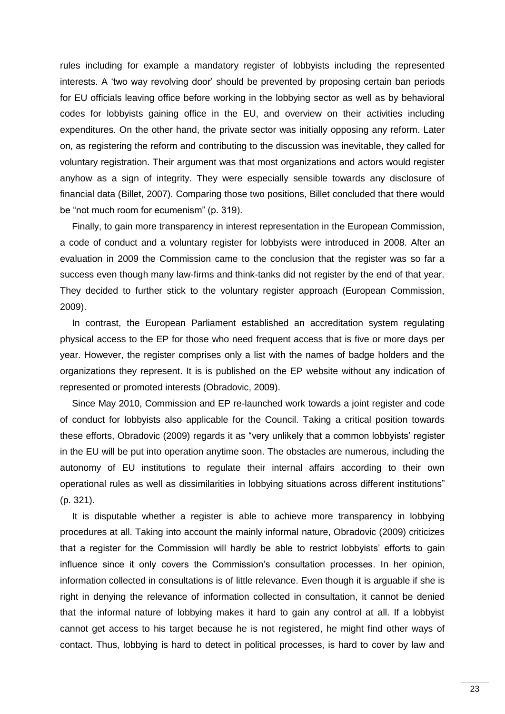rules including for example a mandatory register of lobbyists including the represented interests. A "two way revolving door" should be prevented by proposing certain ban periods for EU officials leaving office before working in the lobbying sector as well as by behavioral codes for lobbyists gaining office in the EU, and overview on their activities including expenditures. On the other hand, the private sector was initially opposing any reform. Later on, as registering the reform and contributing to the discussion was inevitable, they called for voluntary registration. Their argument was that most organizations and actors would register anyhow as a sign of integrity. They were especially sensible towards any disclosure of financial data (Billet, 2007). Comparing those two positions, Billet concluded that there would be "not much room for ecumenism" (p. 319).

Finally, to gain more transparency in interest representation in the European Commission, a code of conduct and a voluntary register for lobbyists were introduced in 2008. After an evaluation in 2009 the Commission came to the conclusion that the register was so far a success even though many law-firms and think-tanks did not register by the end of that year. They decided to further stick to the voluntary register approach (European Commission, 2009).

In contrast, the European Parliament established an accreditation system regulating physical access to the EP for those who need frequent access that is five or more days per year. However, the register comprises only a list with the names of badge holders and the organizations they represent. It is is published on the EP website without any indication of represented or promoted interests (Obradovic, 2009).

Since May 2010, Commission and EP re-launched work towards a joint register and code of conduct for lobbyists also applicable for the Council. Taking a critical position towards these efforts, Obradovic (2009) regards it as "very unlikely that a common lobbyists" register in the EU will be put into operation anytime soon. The obstacles are numerous, including the autonomy of EU institutions to regulate their internal affairs according to their own operational rules as well as dissimilarities in lobbying situations across different institutions" (p. 321).

It is disputable whether a register is able to achieve more transparency in lobbying procedures at all. Taking into account the mainly informal nature, Obradovic (2009) criticizes that a register for the Commission will hardly be able to restrict lobbyists" efforts to gain influence since it only covers the Commission"s consultation processes. In her opinion, information collected in consultations is of little relevance. Even though it is arguable if she is right in denying the relevance of information collected in consultation, it cannot be denied that the informal nature of lobbying makes it hard to gain any control at all. If a lobbyist cannot get access to his target because he is not registered, he might find other ways of contact. Thus, lobbying is hard to detect in political processes, is hard to cover by law and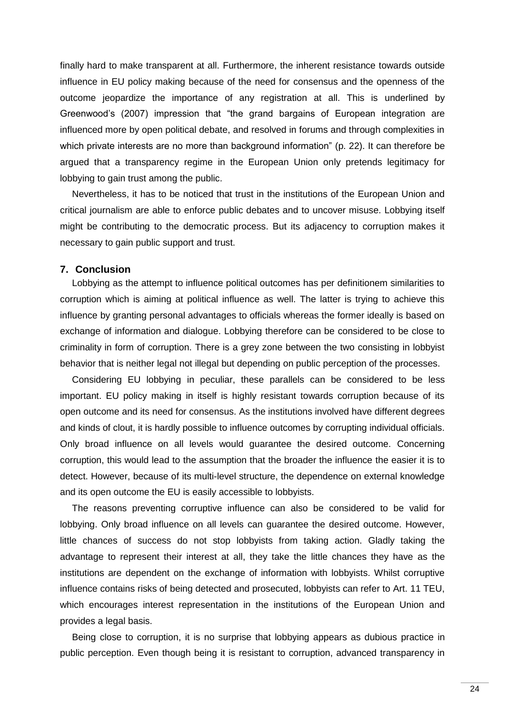finally hard to make transparent at all. Furthermore, the inherent resistance towards outside influence in EU policy making because of the need for consensus and the openness of the outcome jeopardize the importance of any registration at all. This is underlined by Greenwood"s (2007) impression that "the grand bargains of European integration are influenced more by open political debate, and resolved in forums and through complexities in which private interests are no more than background information" (p. 22). It can therefore be argued that a transparency regime in the European Union only pretends legitimacy for lobbying to gain trust among the public.

Nevertheless, it has to be noticed that trust in the institutions of the European Union and critical journalism are able to enforce public debates and to uncover misuse. Lobbying itself might be contributing to the democratic process. But its adjacency to corruption makes it necessary to gain public support and trust.

#### <span id="page-28-0"></span>**7. Conclusion**

Lobbying as the attempt to influence political outcomes has per definitionem similarities to corruption which is aiming at political influence as well. The latter is trying to achieve this influence by granting personal advantages to officials whereas the former ideally is based on exchange of information and dialogue. Lobbying therefore can be considered to be close to criminality in form of corruption. There is a grey zone between the two consisting in lobbyist behavior that is neither legal not illegal but depending on public perception of the processes.

Considering EU lobbying in peculiar, these parallels can be considered to be less important. EU policy making in itself is highly resistant towards corruption because of its open outcome and its need for consensus. As the institutions involved have different degrees and kinds of clout, it is hardly possible to influence outcomes by corrupting individual officials. Only broad influence on all levels would guarantee the desired outcome. Concerning corruption, this would lead to the assumption that the broader the influence the easier it is to detect. However, because of its multi-level structure, the dependence on external knowledge and its open outcome the EU is easily accessible to lobbyists.

The reasons preventing corruptive influence can also be considered to be valid for lobbying. Only broad influence on all levels can guarantee the desired outcome. However, little chances of success do not stop lobbyists from taking action. Gladly taking the advantage to represent their interest at all, they take the little chances they have as the institutions are dependent on the exchange of information with lobbyists. Whilst corruptive influence contains risks of being detected and prosecuted, lobbyists can refer to Art. 11 TEU, which encourages interest representation in the institutions of the European Union and provides a legal basis.

Being close to corruption, it is no surprise that lobbying appears as dubious practice in public perception. Even though being it is resistant to corruption, advanced transparency in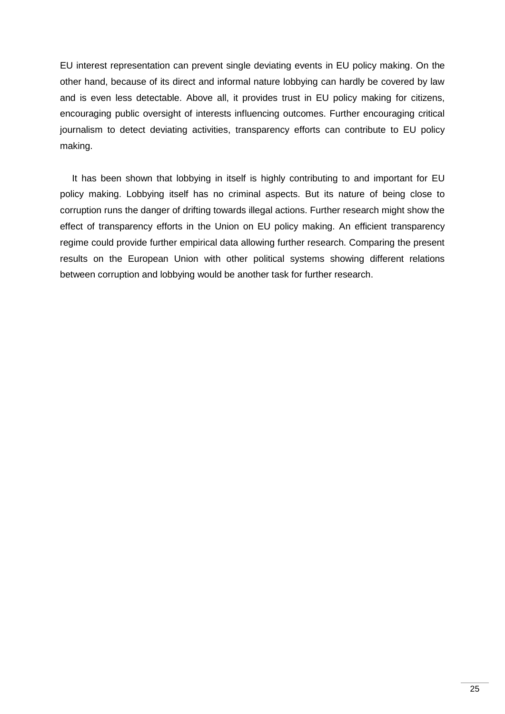EU interest representation can prevent single deviating events in EU policy making. On the other hand, because of its direct and informal nature lobbying can hardly be covered by law and is even less detectable. Above all, it provides trust in EU policy making for citizens, encouraging public oversight of interests influencing outcomes. Further encouraging critical journalism to detect deviating activities, transparency efforts can contribute to EU policy making.

It has been shown that lobbying in itself is highly contributing to and important for EU policy making. Lobbying itself has no criminal aspects. But its nature of being close to corruption runs the danger of drifting towards illegal actions. Further research might show the effect of transparency efforts in the Union on EU policy making. An efficient transparency regime could provide further empirical data allowing further research. Comparing the present results on the European Union with other political systems showing different relations between corruption and lobbying would be another task for further research.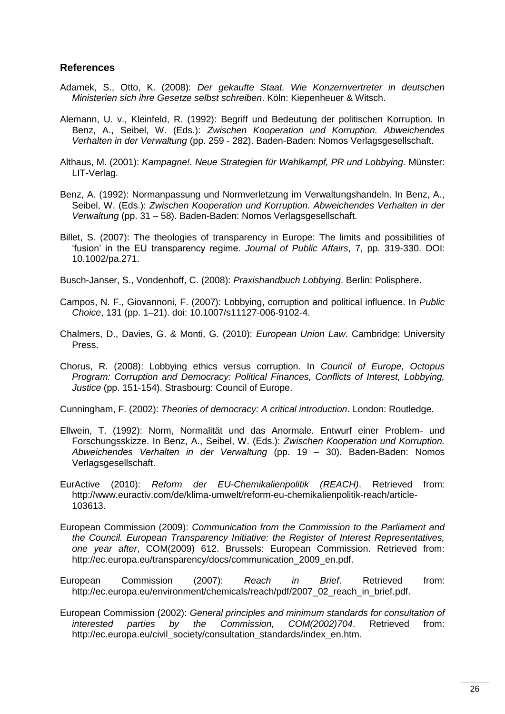# <span id="page-30-0"></span>**References**

- Adamek, S., Otto, K. (2008): *Der gekaufte Staat. Wie Konzernvertreter in deutschen Ministerien sich ihre Gesetze selbst schreiben*. Köln: Kiepenheuer & Witsch.
- Alemann, U. v., Kleinfeld, R. (1992): Begriff und Bedeutung der politischen Korruption. In Benz, A., Seibel, W. (Eds.): *Zwischen Kooperation und Korruption. Abweichendes Verhalten in der Verwaltung* (pp. 259 - 282). Baden-Baden: Nomos Verlagsgesellschaft.
- Althaus, M. (2001): *Kampagne!. Neue Strategien für Wahlkampf, PR und Lobbying.* Münster: LIT-Verlag.
- Benz, A. (1992): Normanpassung und Normverletzung im Verwaltungshandeln. In Benz, A., Seibel, W. (Eds.): *Zwischen Kooperation und Korruption. Abweichendes Verhalten in der Verwaltung* (pp. 31 – 58). Baden-Baden: Nomos Verlagsgesellschaft.
- Billet, S. (2007): The theologies of transparency in Europe: The limits and possibilities of "fusion" in the EU transparency regime. *Journal of Public Affairs*, 7, pp. 319-330. DOI: 10.1002/pa.271.
- Busch-Janser, S., Vondenhoff, C. (2008): *Praxishandbuch Lobbying*. Berlin: Polisphere.
- Campos, N. F., Giovannoni, F. (2007): Lobbying, corruption and political influence. In *Public Choice*, 131 (pp. 1–21). doi: 10.1007/s11127-006-9102-4.
- Chalmers, D., Davies, G. & Monti, G. (2010): *European Union Law*. Cambridge: University Press.
- Chorus, R. (2008): Lobbying ethics versus corruption. In *Council of Europe, Octopus Program: Corruption and Democracy: Political Finances, Conflicts of Interest, Lobbying, Justice* (pp. 151-154). Strasbourg: Council of Europe.

Cunningham, F. (2002): *Theories of democracy: A critical introduction*. London: Routledge.

- Ellwein, T. (1992): Norm, Normalität und das Anormale. Entwurf einer Problem- und Forschungsskizze. In Benz, A., Seibel, W. (Eds.): *Zwischen Kooperation und Korruption. Abweichendes Verhalten in der Verwaltung* (pp. 19 – 30). Baden-Baden: Nomos Verlagsgesellschaft.
- EurActive (2010): *Reform der EU-Chemikalienpolitik (REACH)*. Retrieved from: http://www.euractiv.com/de/klima-umwelt/reform-eu-chemikalienpolitik-reach/article-103613.
- European Commission (2009): *Communication from the Commission to the Parliament and the Council. European Transparency Initiative: the Register of Interest Representatives, one year after*, COM(2009) 612. Brussels: European Commission. Retrieved from: http://ec.europa.eu/transparency/docs/communication\_2009\_en.pdf.
- European Commission (2007): *Reach in Brief*. Retrieved from: http://ec.europa.eu/environment/chemicals/reach/pdf/2007\_02\_reach\_in\_brief.pdf.
- European Commission (2002): *General principles and minimum standards for consultation of interested parties by the Commission, COM(2002)704*. Retrieved from: http://ec.europa.eu/civil\_society/consultation\_standards/index\_en.htm.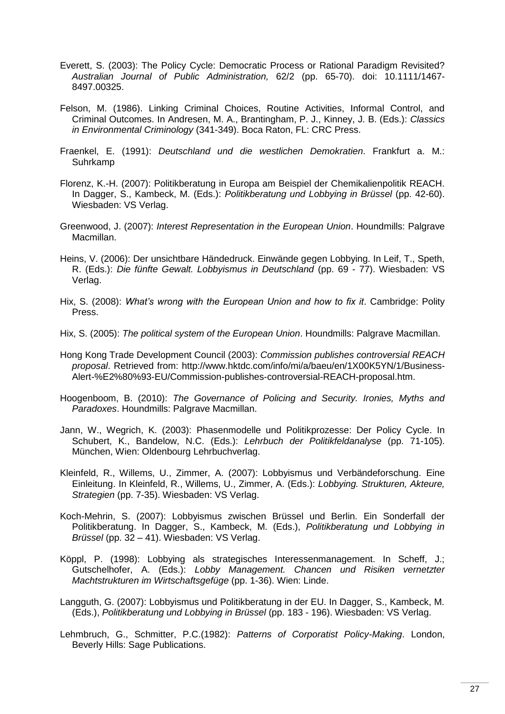- Everett, S. (2003): The Policy Cycle: Democratic Process or Rational Paradigm Revisited? *Australian Journal of Public Administration,* 62/2 (pp. 65-70). doi: 10.1111/1467- 8497.00325.
- Felson, M. (1986). Linking Criminal Choices, Routine Activities, Informal Control, and Criminal Outcomes. In Andresen, M. A., Brantingham, P. J., Kinney, J. B. (Eds.): *Classics in Environmental Criminology* (341-349). Boca Raton, FL: CRC Press.
- Fraenkel, E. (1991): *Deutschland und die westlichen Demokratien*. Frankfurt a. M.: Suhrkamp
- Florenz, K.-H. (2007): Politikberatung in Europa am Beispiel der Chemikalienpolitik REACH. In Dagger, S., Kambeck, M. (Eds.): *Politikberatung und Lobbying in Brüssel* (pp. 42-60). Wiesbaden: VS Verlag.
- Greenwood, J. (2007): *Interest Representation in the European Union*. Houndmills: Palgrave Macmillan.
- Heins, V. (2006): Der unsichtbare Händedruck. Einwände gegen Lobbying. In Leif, T., Speth, R. (Eds.): *Die fünfte Gewalt. Lobbyismus in Deutschland* (pp. 69 - 77). Wiesbaden: VS Verlag.
- Hix, S. (2008): *What's wrong with the European Union and how to fix it*. Cambridge: Polity Press.
- Hix, S. (2005): *The political system of the European Union*. Houndmills: Palgrave Macmillan.
- Hong Kong Trade Development Council (2003): *Commission publishes controversial REACH proposal*. Retrieved from: http://www.hktdc.com/info/mi/a/baeu/en/1X00K5YN/1/Business-Alert-%E2%80%93-EU/Commission-publishes-controversial-REACH-proposal.htm.
- Hoogenboom, B. (2010): *The Governance of Policing and Security. Ironies, Myths and Paradoxes*. Houndmills: Palgrave Macmillan.
- Jann, W., Wegrich, K. (2003): Phasenmodelle und Politikprozesse: Der Policy Cycle. In Schubert, K., Bandelow, N.C. (Eds.): *Lehrbuch der Politikfeldanalyse* (pp. 71-105). München, Wien: Oldenbourg Lehrbuchverlag.
- Kleinfeld, R., Willems, U., Zimmer, A. (2007): Lobbyismus und Verbändeforschung. Eine Einleitung. In Kleinfeld, R., Willems, U., Zimmer, A. (Eds.): *Lobbying. Strukturen, Akteure, Strategien* (pp. 7-35). Wiesbaden: VS Verlag.
- Koch-Mehrin, S. (2007): Lobbyismus zwischen Brüssel und Berlin. Ein Sonderfall der Politikberatung. In Dagger, S., Kambeck, M. (Eds.), *Politikberatung und Lobbying in Brüssel* (pp. 32 – 41). Wiesbaden: VS Verlag.
- Köppl, P. (1998): Lobbying als strategisches Interessenmanagement. In Scheff, J.; Gutschelhofer, A. (Eds.): *Lobby Management. Chancen und Risiken vernetzter Machtstrukturen im Wirtschaftsgefüge* (pp. 1-36). Wien: Linde.
- Langguth, G. (2007): Lobbyismus und Politikberatung in der EU. In Dagger, S., Kambeck, M. (Eds.), *Politikberatung und Lobbying in Brüssel* (pp. 183 - 196). Wiesbaden: VS Verlag.
- Lehmbruch, G., Schmitter, P.C.(1982): *Patterns of Corporatist Policy-Making*. London, Beverly Hills: Sage Publications.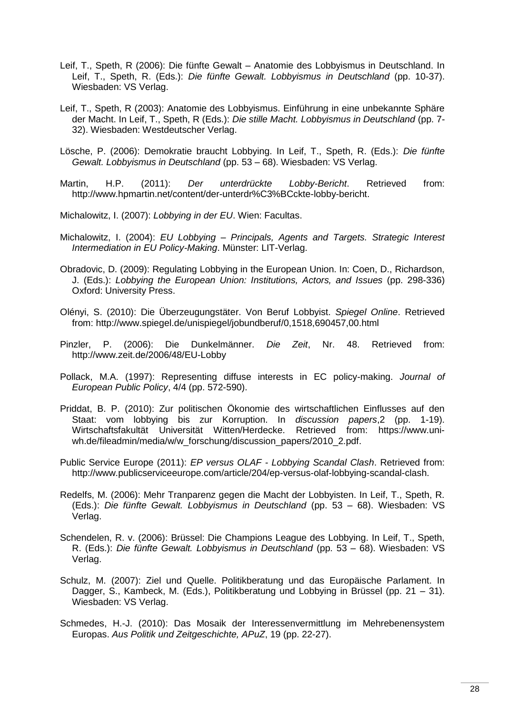- Leif, T., Speth, R (2006): Die fünfte Gewalt Anatomie des Lobbyismus in Deutschland. In Leif, T., Speth, R. (Eds.): *Die fünfte Gewalt. Lobbyismus in Deutschland* (pp. 10-37). Wiesbaden: VS Verlag.
- Leif, T., Speth, R (2003): Anatomie des Lobbyismus. Einführung in eine unbekannte Sphäre der Macht. In Leif, T., Speth, R (Eds.): *Die stille Macht. Lobbyismus in Deutschland* (pp. 7- 32). Wiesbaden: Westdeutscher Verlag.
- Lösche, P. (2006): Demokratie braucht Lobbying. In Leif, T., Speth, R. (Eds.): *Die fünfte Gewalt. Lobbyismus in Deutschland* (pp. 53 – 68). Wiesbaden: VS Verlag.
- Martin, H.P. (2011): *Der unterdrückte Lobby-Bericht*. Retrieved from: http://www.hpmartin.net/content/der-unterdr%C3%BCckte-lobby-bericht.
- Michalowitz, I. (2007): *Lobbying in der EU*. Wien: Facultas.
- Michalowitz, I. (2004): *EU Lobbying – Principals, Agents and Targets. Strategic Interest Intermediation in EU Policy-Making*. Münster: LIT-Verlag.
- Obradovic, D. (2009): Regulating Lobbying in the European Union. In: Coen, D., Richardson, J. (Eds.): *Lobbying the European Union: Institutions, Actors, and Issues* (pp. 298-336) Oxford: University Press.
- Olényi, S. (2010): Die Überzeugungstäter. Von Beruf Lobbyist. *Spiegel Online*. Retrieved from: http://www.spiegel.de/unispiegel/jobundberuf/0,1518,690457,00.html
- Pinzler, P. (2006): Die Dunkelmänner. *Die Zeit*, Nr. 48. Retrieved from: http://www.zeit.de/2006/48/EU-Lobby
- Pollack, M.A. (1997): Representing diffuse interests in EC policy-making. *Journal of European Public Policy*, 4/4 (pp. 572-590).
- Priddat, B. P. (2010): Zur politischen Ökonomie des wirtschaftlichen Einflusses auf den Staat: vom lobbying bis zur Korruption. In *discussion papers*,2 (pp. 1-19). Wirtschaftsfakultät Universität Witten/Herdecke. Retrieved from: https://www.uniwh.de/fileadmin/media/w/w\_forschung/discussion\_papers/2010\_2.pdf.
- Public Service Europe (2011): *EP versus OLAF - Lobbying Scandal Clash*. Retrieved from: http://www.publicserviceeurope.com/article/204/ep-versus-olaf-lobbying-scandal-clash.
- Redelfs, M. (2006): Mehr Tranparenz gegen die Macht der Lobbyisten. In Leif, T., Speth, R. (Eds.): *Die fünfte Gewalt. Lobbyismus in Deutschland* (pp. 53 – 68). Wiesbaden: VS Verlag.
- Schendelen, R. v. (2006): Brüssel: Die Champions League des Lobbying. In Leif, T., Speth, R. (Eds.): *Die fünfte Gewalt. Lobbyismus in Deutschland* (pp. 53 – 68). Wiesbaden: VS Verlag.
- Schulz, M. (2007): Ziel und Quelle. Politikberatung und das Europäische Parlament. In Dagger, S., Kambeck, M. (Eds.), Politikberatung und Lobbying in Brüssel (pp. 21 – 31). Wiesbaden: VS Verlag.
- Schmedes, H.-J. (2010): Das Mosaik der Interessenvermittlung im Mehrebenensystem Europas. *Aus Politik und Zeitgeschichte, APuZ*, 19 (pp. 22-27).